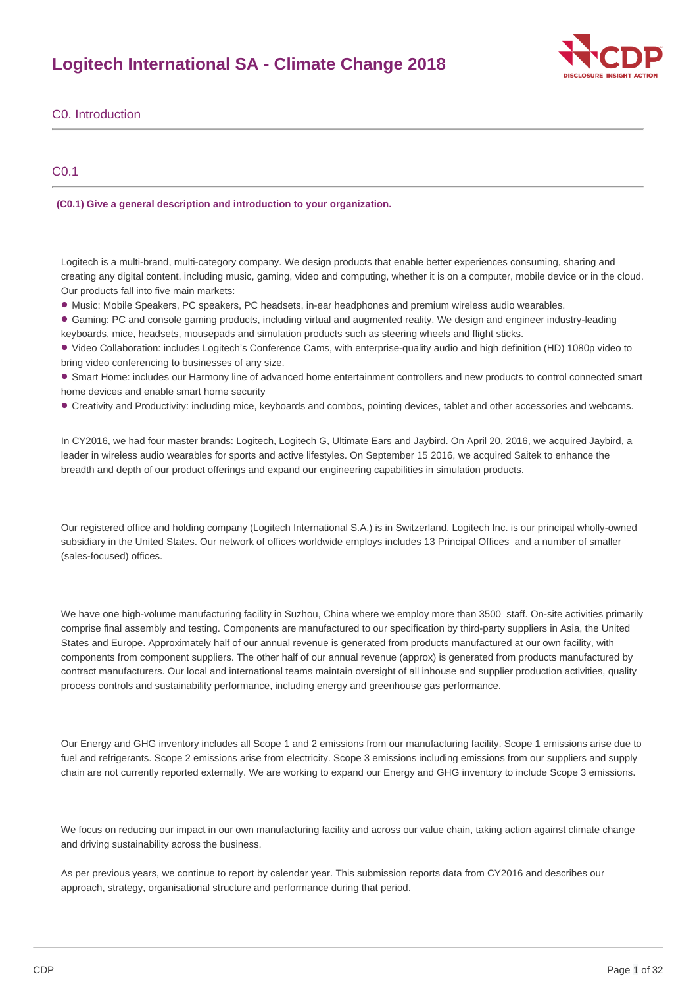# **Logitech International SA - Climate Change 2018**



C0. Introduction

# C0.1

**(C0.1) Give a general description and introduction to your organization.**

Logitech is a multi-brand, multi-category company. We design products that enable better experiences consuming, sharing and creating any digital content, including music, gaming, video and computing, whether it is on a computer, mobile device or in the cloud. Our products fall into five main markets:

• Music: Mobile Speakers, PC speakers, PC headsets, in-ear headphones and premium wireless audio wearables.

Gaming: PC and console gaming products, including virtual and augmented reality. We design and engineer industry-leading • keyboards, mice, headsets, mousepads and simulation products such as steering wheels and flight sticks.

• Video Collaboration: includes Logitech's Conference Cams, with enterprise-quality audio and high definition (HD) 1080p video to bring video conferencing to businesses of any size.

• Smart Home: includes our Harmony line of advanced home entertainment controllers and new products to control connected smart home devices and enable smart home security

Creativity and Productivity: including mice, keyboards and combos, pointing devices, tablet and other accessories and webcams. •

In CY2016, we had four master brands: Logitech, Logitech G, Ultimate Ears and Jaybird. On April 20, 2016, we acquired Jaybird, a leader in wireless audio wearables for sports and active lifestyles. On September 15 2016, we acquired Saitek to enhance the breadth and depth of our product offerings and expand our engineering capabilities in simulation products.

Our registered office and holding company (Logitech International S.A.) is in Switzerland. Logitech Inc. is our principal wholly-owned subsidiary in the United States. Our network of offices worldwide employs includes 13 Principal Offices and a number of smaller (sales-focused) offices.

We have one high-volume manufacturing facility in Suzhou, China where we employ more than 3500 staff. On-site activities primarily comprise final assembly and testing. Components are manufactured to our specification by third-party suppliers in Asia, the United States and Europe. Approximately half of our annual revenue is generated from products manufactured at our own facility, with components from component suppliers. The other half of our annual revenue (approx) is generated from products manufactured by contract manufacturers. Our local and international teams maintain oversight of all inhouse and supplier production activities, quality process controls and sustainability performance, including energy and greenhouse gas performance.

Our Energy and GHG inventory includes all Scope 1 and 2 emissions from our manufacturing facility. Scope 1 emissions arise due to fuel and refrigerants. Scope 2 emissions arise from electricity. Scope 3 emissions including emissions from our suppliers and supply chain are not currently reported externally. We are working to expand our Energy and GHG inventory to include Scope 3 emissions.

We focus on reducing our impact in our own manufacturing facility and across our value chain, taking action against climate change and driving sustainability across the business.

As per previous years, we continue to report by calendar year. This submission reports data from CY2016 and describes our approach, strategy, organisational structure and performance during that period.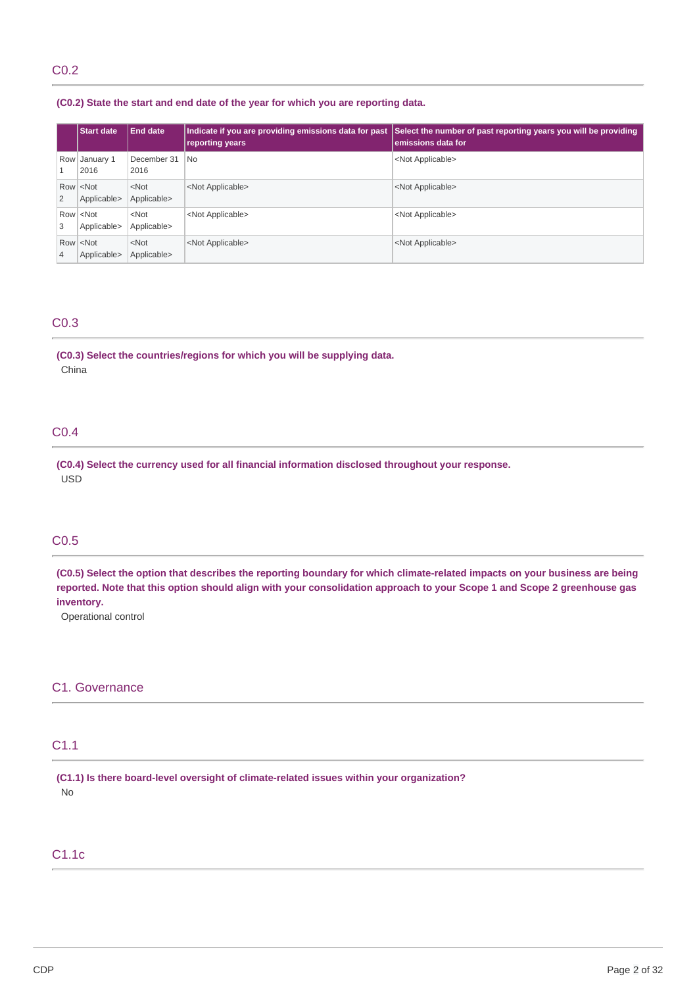# C0.2

### **(C0.2) State the start and end date of the year for which you are reporting data.**

|   | <b>Start date</b>                   | <b>End date</b>        | Indicate if you are providing emissions data for past<br>reporting years | Select the number of past reporting years you will be providing<br>emissions data for |
|---|-------------------------------------|------------------------|--------------------------------------------------------------------------|---------------------------------------------------------------------------------------|
| 1 | Row January 1<br>2016               | December 31<br>2016    | <b>No</b>                                                                | <not applicable=""></not>                                                             |
| 2 | Row <not<br>Applicable&gt;</not<br> | $<$ Not<br>Applicable> | <not applicable=""></not>                                                | <not applicable=""></not>                                                             |
| 3 | Row <not<br>Applicable&gt;</not<br> | $<$ Not<br>Applicable> | <not applicable=""></not>                                                | <not applicable=""></not>                                                             |
| 4 | Row <not<br>Applicable&gt;</not<br> | $<$ Not<br>Applicable> | <not applicable=""></not>                                                | <not applicable=""></not>                                                             |

### C0.3

**(C0.3) Select the countries/regions for which you will be supplying data.** China

# C0.4

**(C0.4) Select the currency used for all financial information disclosed throughout your response.** USD

# C0.5

(C0.5) Select the option that describes the reporting boundary for which climate-related impacts on your business are being reported. Note that this option should align with your consolidation approach to your Scope 1 and Scope 2 greenhouse gas **inventory.**

Operational control

## C1. Governance

# C1.1

**(C1.1) Is there board-level oversight of climate-related issues within your organization?** No

### C1.1c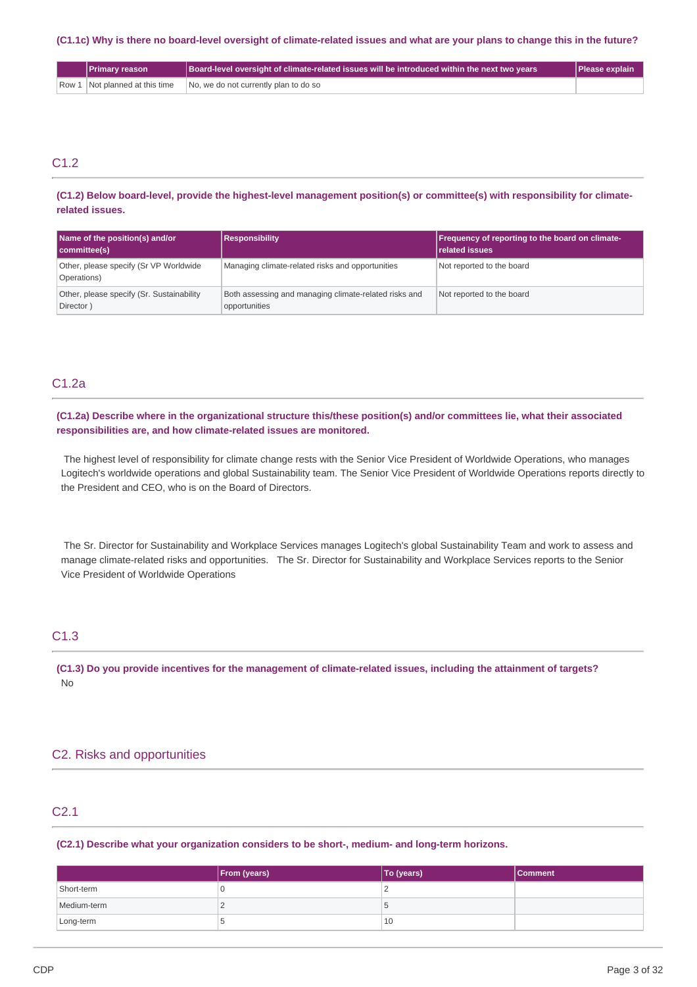(C1.1c) Why is there no board-level oversight of climate-related issues and what are your plans to change this in the future?

| <b>NPrimary reason</b> \       | $\Box$ Board-level oversight of climate-related issues will be introduced within the next two years | <b>Please explain</b> |
|--------------------------------|-----------------------------------------------------------------------------------------------------|-----------------------|
| Row 1 Not planned at this time | No, we do not currently plan to do so                                                               |                       |

# C<sub>12</sub>

**(C1.2) Below board-level, provide the highest-level management position(s) or committee(s) with responsibility for climaterelated issues.**

| Name of the position(s) and/or<br>committee(s)         | <b>Responsibility</b>                                                  | Frequency of reporting to the board on climate-<br>related issues |
|--------------------------------------------------------|------------------------------------------------------------------------|-------------------------------------------------------------------|
| Other, please specify (Sr VP Worldwide<br>Operations)  | Managing climate-related risks and opportunities                       | Not reported to the board                                         |
| Other, please specify (Sr. Sustainability<br>Director) | Both assessing and managing climate-related risks and<br>opportunities | Not reported to the board                                         |

## C1.2a

(C1.2a) Describe where in the organizational structure this/these position(s) and/or committees lie, what their associated **responsibilities are, and how climate-related issues are monitored.**

The highest level of responsibility for climate change rests with the Senior Vice President of Worldwide Operations, who manages Logitech's worldwide operations and global Sustainability team. The Senior Vice President of Worldwide Operations reports directly to the President and CEO, who is on the Board of Directors.

The Sr. Director for Sustainability and Workplace Services manages Logitech's global Sustainability Team and work to assess and manage climate-related risks and opportunities. The Sr. Director for Sustainability and Workplace Services reports to the Senior Vice President of Worldwide Operations

# C1.3

(C1.3) Do you provide incentives for the management of climate-related issues, including the attainment of targets? No

# C2. Risks and opportunities

### C2.1

**(C2.1) Describe what your organization considers to be short-, medium- and long-term horizons.**

|             | <b>From (years)</b> | <b>To (years)</b> | l Comment |
|-------------|---------------------|-------------------|-----------|
| Short-term  |                     |                   |           |
| Medium-term |                     | Ð                 |           |
| Long-term   |                     | 10                |           |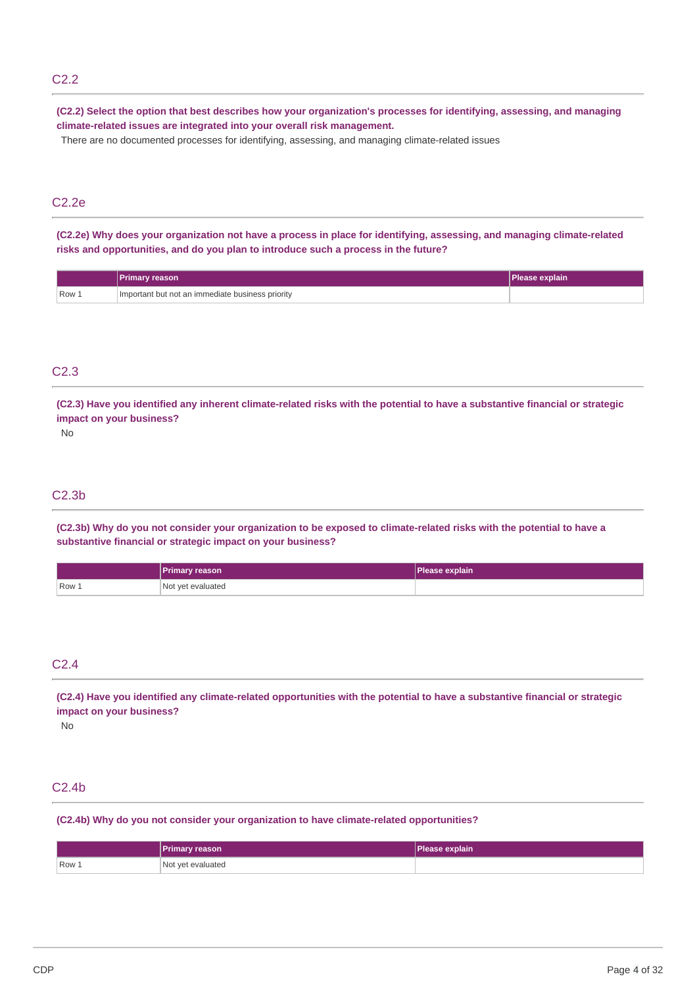# C2.2

(C2.2) Select the option that best describes how your organization's processes for identifying, assessing, and managing **climate-related issues are integrated into your overall risk management.**

There are no documented processes for identifying, assessing, and managing climate-related issues

# C2.2e

(C2.2e) Why does your organization not have a process in place for identifying, assessing, and managing climate-related **risks and opportunities, and do you plan to introduce such a process in the future?**

|                  | <b>Primary reason</b>                              | Please explain' |
|------------------|----------------------------------------------------|-----------------|
| Row <sub>+</sub> | I Important but not an immediate business priority |                 |

# C2.3

(C2.3) Have you identified any inherent climate-related risks with the potential to have a substantive financial or strategic **impact on your business?**

No

# C2.3b

(C2.3b) Why do you not consider your organization to be exposed to climate-related risks with the potential to have a **substantive financial or strategic impact on your business?**

|       | <b>Primary reason</b> | Please explain |
|-------|-----------------------|----------------|
| Row 1 | Not yet evaluated     |                |

# C2.4

(C2.4) Have you identified any climate-related opportunities with the potential to have a substantive financial or strategic **impact on your business?**

No

# C2.4b

**(C2.4b) Why do you not consider your organization to have climate-related opportunities?**

|       | Primary reason    | Please explain |
|-------|-------------------|----------------|
| Row 1 | Not yet evaluated |                |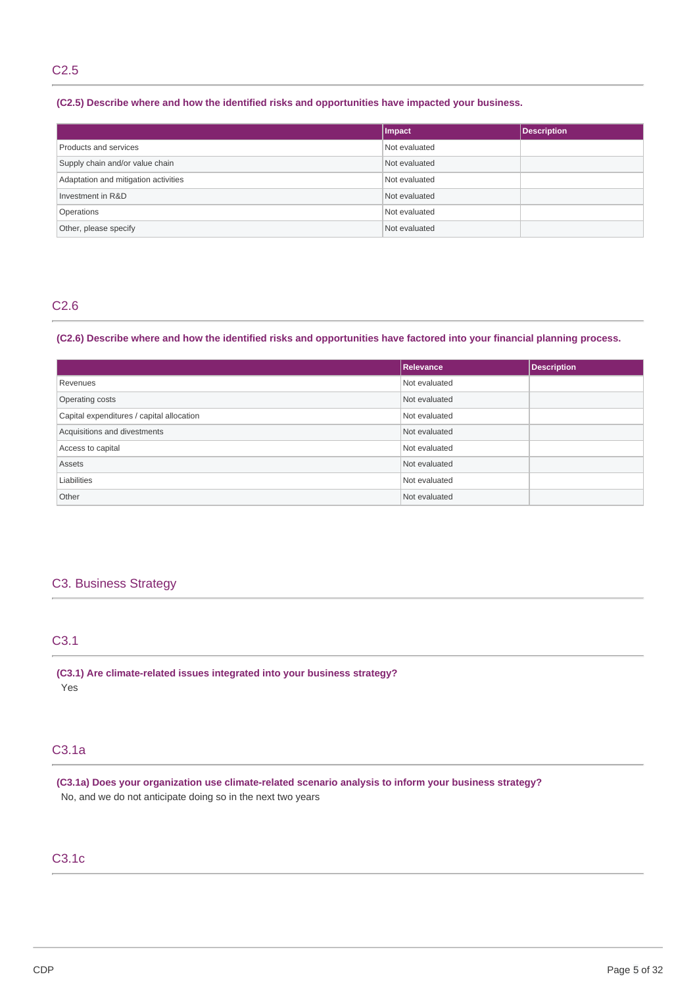# C2.5

### **(C2.5) Describe where and how the identified risks and opportunities have impacted your business.**

|                                      | Impact        | <b>Description</b> |
|--------------------------------------|---------------|--------------------|
| Products and services                | Not evaluated |                    |
| Supply chain and/or value chain      | Not evaluated |                    |
| Adaptation and mitigation activities | Not evaluated |                    |
| Investment in R&D                    | Not evaluated |                    |
| Operations                           | Not evaluated |                    |
| Other, please specify                | Not evaluated |                    |

# C2.6

### (C2.6) Describe where and how the identified risks and opportunities have factored into your financial planning process.

|                                           | <b>Relevance</b> | <b>Description</b> |
|-------------------------------------------|------------------|--------------------|
| Revenues                                  | Not evaluated    |                    |
| Operating costs                           | Not evaluated    |                    |
| Capital expenditures / capital allocation | Not evaluated    |                    |
| Acquisitions and divestments              | Not evaluated    |                    |
| Access to capital                         | Not evaluated    |                    |
| Assets                                    | Not evaluated    |                    |
| Liabilities                               | Not evaluated    |                    |
| Other                                     | Not evaluated    |                    |

# C3. Business Strategy

# C3.1

**(C3.1) Are climate-related issues integrated into your business strategy?** Yes

# C3.1a

**(C3.1a) Does your organization use climate-related scenario analysis to inform your business strategy?** No, and we do not anticipate doing so in the next two years

# C3.1c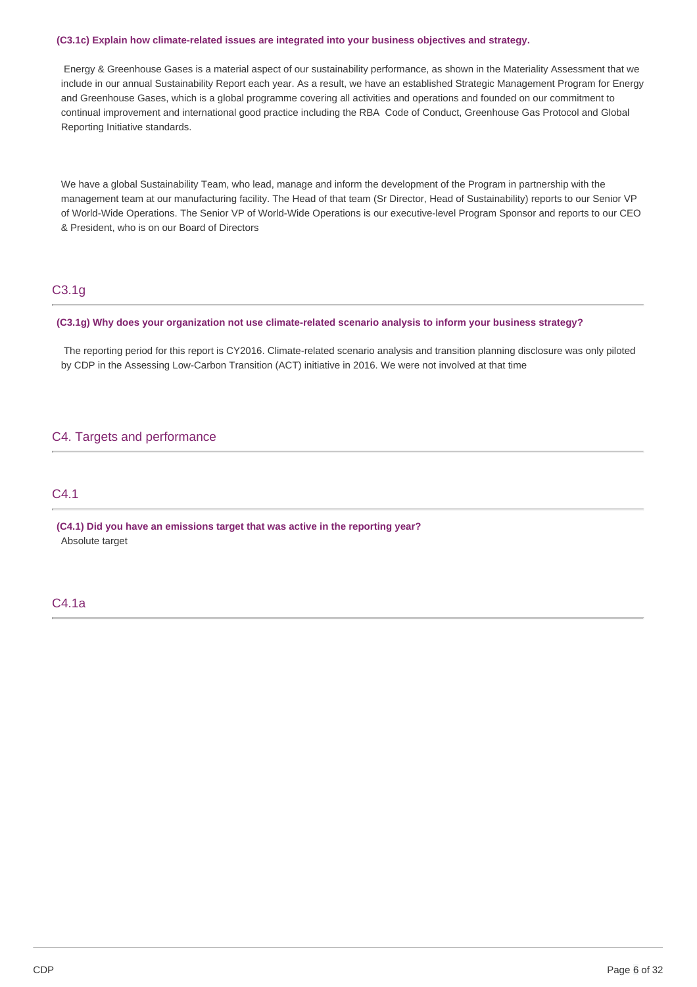#### **(C3.1c) Explain how climate-related issues are integrated into your business objectives and strategy.**

Energy & Greenhouse Gases is a material aspect of our sustainability performance, as shown in the Materiality Assessment that we include in our annual Sustainability Report each year. As a result, we have an established Strategic Management Program for Energy and Greenhouse Gases, which is a global programme covering all activities and operations and founded on our commitment to continual improvement and international good practice including the RBA Code of Conduct, Greenhouse Gas Protocol and Global Reporting Initiative standards.

We have a global Sustainability Team, who lead, manage and inform the development of the Program in partnership with the management team at our manufacturing facility. The Head of that team (Sr Director, Head of Sustainability) reports to our Senior VP of World-Wide Operations. The Senior VP of World-Wide Operations is our executive-level Program Sponsor and reports to our CEO & President, who is on our Board of Directors

# C3.1g

### **(C3.1g) Why does your organization not use climate-related scenario analysis to inform your business strategy?**

The reporting period for this report is CY2016. Climate-related scenario analysis and transition planning disclosure was only piloted by CDP in the Assessing Low-Carbon Transition (ACT) initiative in 2016. We were not involved at that time

# C4. Targets and performance

## C4.1

**(C4.1) Did you have an emissions target that was active in the reporting year?** Absolute target

# C4.1a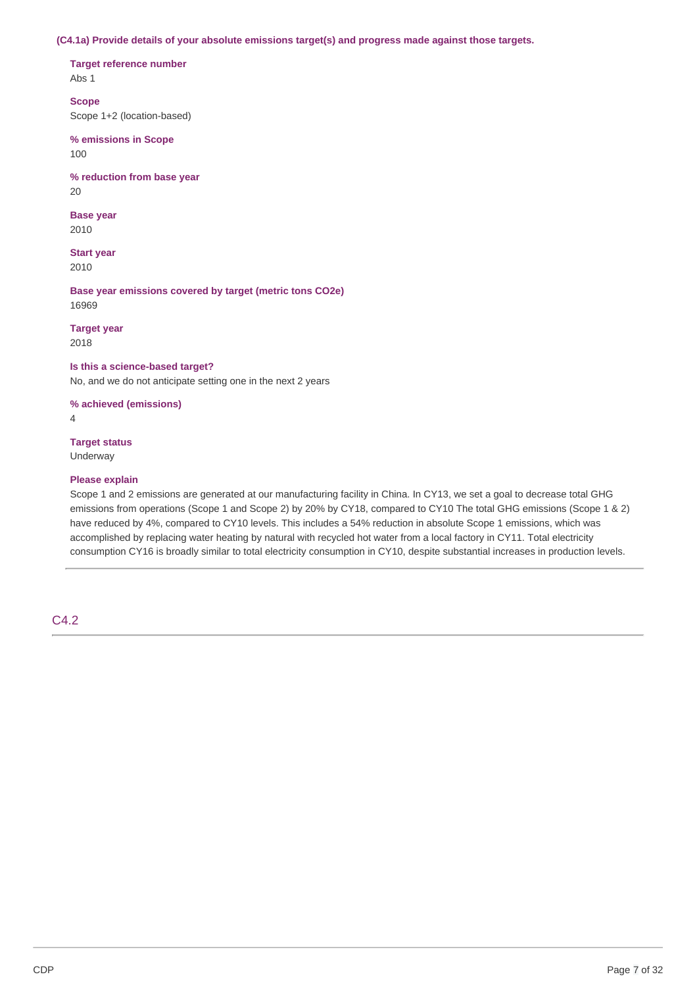#### **(C4.1a) Provide details of your absolute emissions target(s) and progress made against those targets.**

**Target reference number**

Abs 1

**Scope**

Scope 1+2 (location-based)

**% emissions in Scope** 100

**% reduction from base year** 20

**Base year** 2010

**Start year** 2010

**Base year emissions covered by target (metric tons CO2e)** 16969

**Target year** 2018

#### **Is this a science-based target?**

No, and we do not anticipate setting one in the next 2 years

**% achieved (emissions)**

4

### **Target status**

Underway

### **Please explain**

Scope 1 and 2 emissions are generated at our manufacturing facility in China. In CY13, we set a goal to decrease total GHG emissions from operations (Scope 1 and Scope 2) by 20% by CY18, compared to CY10 The total GHG emissions (Scope 1 & 2) have reduced by 4%, compared to CY10 levels. This includes a 54% reduction in absolute Scope 1 emissions, which was accomplished by replacing water heating by natural with recycled hot water from a local factory in CY11. Total electricity consumption CY16 is broadly similar to total electricity consumption in CY10, despite substantial increases in production levels.

# C4.2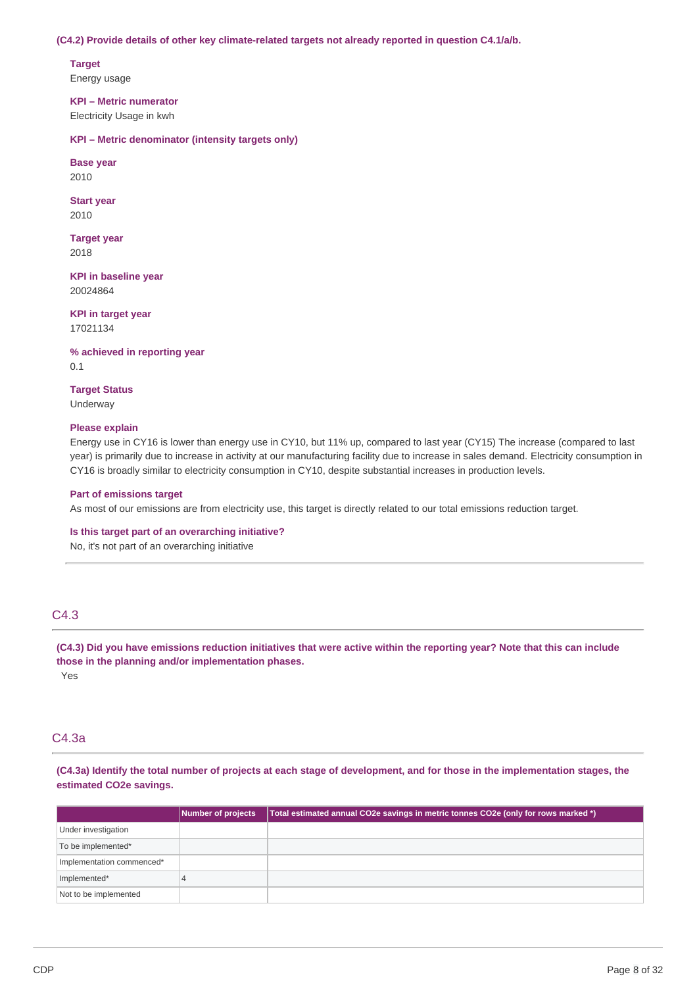#### **(C4.2) Provide details of other key climate-related targets not already reported in question C4.1/a/b.**

**Target** Energy usage

**KPI – Metric numerator** Electricity Usage in kwh

**KPI – Metric denominator (intensity targets only)**

**Base year** 2010

**Start year**

2010

**Target year** 2018

**KPI in baseline year** 20024864

**KPI in target year** 17021134

**% achieved in reporting year** 0.1

**Target Status** Underway

### **Please explain**

Energy use in CY16 is lower than energy use in CY10, but 11% up, compared to last year (CY15) The increase (compared to last year) is primarily due to increase in activity at our manufacturing facility due to increase in sales demand. Electricity consumption in CY16 is broadly similar to electricity consumption in CY10, despite substantial increases in production levels.

### **Part of emissions target**

As most of our emissions are from electricity use, this target is directly related to our total emissions reduction target.

### **Is this target part of an overarching initiative?**

No, it's not part of an overarching initiative

# C4.3

(C4.3) Did you have emissions reduction initiatives that were active within the reporting year? Note that this can include **those in the planning and/or implementation phases.** Yes

## C4.3a

(C4.3a) Identify the total number of projects at each stage of development, and for those in the implementation stages, the **estimated CO2e savings.**

|                           | Number of projects | Total estimated annual CO2e savings in metric tonnes CO2e (only for rows marked *) |
|---------------------------|--------------------|------------------------------------------------------------------------------------|
| Under investigation       |                    |                                                                                    |
| To be implemented*        |                    |                                                                                    |
| Implementation commenced* |                    |                                                                                    |
| Implemented*              |                    |                                                                                    |
| Not to be implemented     |                    |                                                                                    |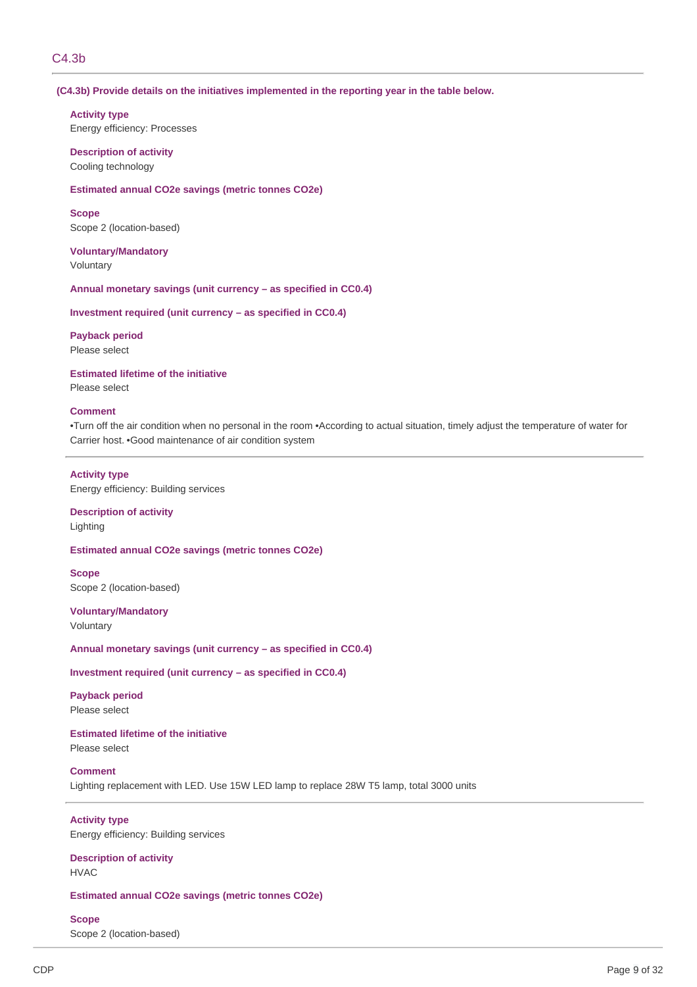### C4.3b

#### **(C4.3b) Provide details on the initiatives implemented in the reporting year in the table below.**

#### **Activity type**

Energy efficiency: Processes

**Description of activity** Cooling technology

#### **Estimated annual CO2e savings (metric tonnes CO2e)**

**Scope** Scope 2 (location-based)

### **Voluntary/Mandatory** Voluntary

### **Annual monetary savings (unit currency – as specified in CC0.4)**

#### **Investment required (unit currency – as specified in CC0.4)**

### **Payback period**

Please select

# **Estimated lifetime of the initiative**

Please select

### **Comment**

•Turn off the air condition when no personal in the room •According to actual situation, timely adjust the temperature of water for Carrier host. •Good maintenance of air condition system

#### **Activity type**

Energy efficiency: Building services

# **Description of activity**

Lighting

### **Estimated annual CO2e savings (metric tonnes CO2e)**

**Scope**

Scope 2 (location-based)

# **Voluntary/Mandatory**

Voluntary

### **Annual monetary savings (unit currency – as specified in CC0.4)**

### **Investment required (unit currency – as specified in CC0.4)**

**Payback period** Please select

# **Estimated lifetime of the initiative**

Please select

### **Comment**

Lighting replacement with LED. Use 15W LED lamp to replace 28W T5 lamp, total 3000 units

### **Activity type**

Energy efficiency: Building services

#### **Description of activity** HVAC

### **Estimated annual CO2e savings (metric tonnes CO2e)**

**Scope**

Scope 2 (location-based)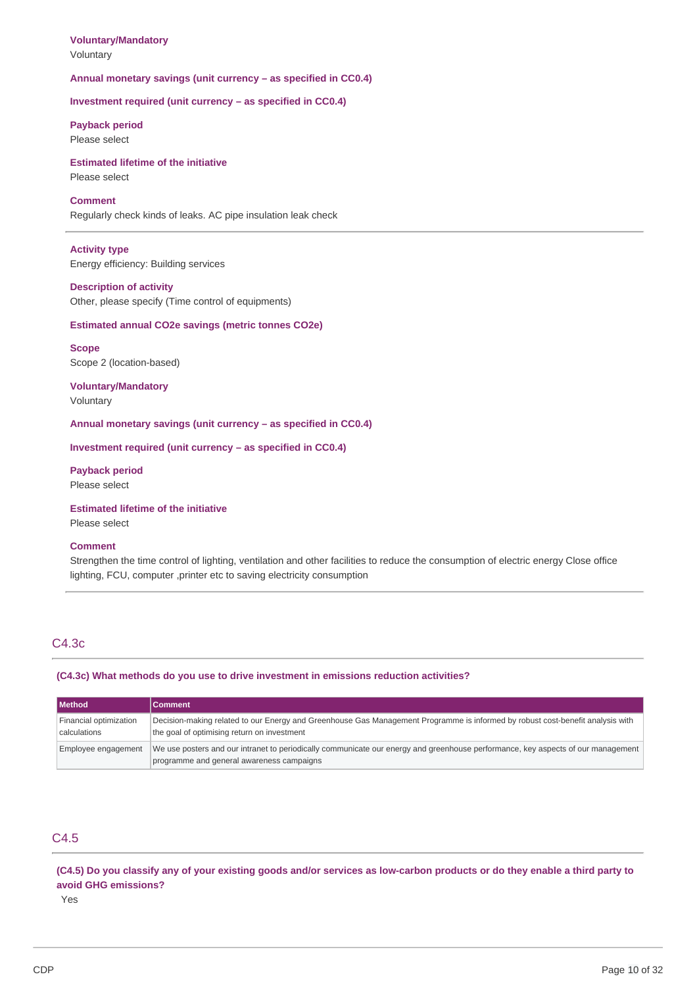# **Voluntary/Mandatory**

Voluntary

### **Annual monetary savings (unit currency – as specified in CC0.4)**

**Investment required (unit currency – as specified in CC0.4)**

### **Payback period** Please select

# **Estimated lifetime of the initiative**

# Please select

# **Comment**

Regularly check kinds of leaks. AC pipe insulation leak check

# **Activity type**

Energy efficiency: Building services

### **Description of activity**

Other, please specify (Time control of equipments)

### **Estimated annual CO2e savings (metric tonnes CO2e)**

**Scope** Scope 2 (location-based)

### **Voluntary/Mandatory** Voluntary

**Annual monetary savings (unit currency – as specified in CC0.4)**

### **Investment required (unit currency – as specified in CC0.4)**

**Payback period** Please select

### **Estimated lifetime of the initiative**

Please select

### **Comment**

Strengthen the time control of lighting, ventilation and other facilities to reduce the consumption of electric energy Close office lighting, FCU, computer ,printer etc to saving electricity consumption

### C4.3c

### **(C4.3c) What methods do you use to drive investment in emissions reduction activities?**

| <b>I</b> Method                        | <b>Comment</b>                                                                                                                                                                |
|----------------------------------------|-------------------------------------------------------------------------------------------------------------------------------------------------------------------------------|
| Financial optimization<br>calculations | Decision-making related to our Energy and Greenhouse Gas Management Programme is informed by robust cost-benefit analysis with<br>the goal of optimising return on investment |
| Employee engagement                    | We use posters and our intranet to periodically communicate our energy and greenhouse performance, key aspects of our management<br>programme and general awareness campaigns |

# C4.5

(C4.5) Do you classify any of your existing goods and/or services as low-carbon products or do they enable a third party to **avoid GHG emissions?**

Yes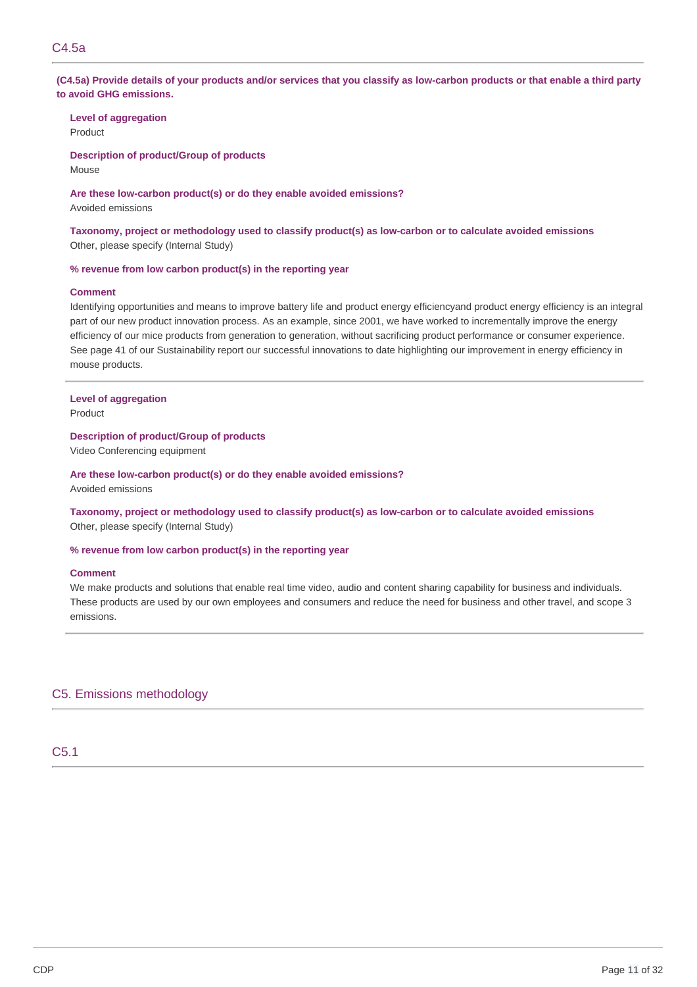(C4.5a) Provide details of your products and/or services that you classify as low-carbon products or that enable a third party **to avoid GHG emissions.**

**Level of aggregation**

Product

**Description of product/Group of products** Mouse

**Are these low-carbon product(s) or do they enable avoided emissions?**

Avoided emissions

**Taxonomy, project or methodology used to classify product(s) as low-carbon or to calculate avoided emissions** Other, please specify (Internal Study)

#### **% revenue from low carbon product(s) in the reporting year**

#### **Comment**

Identifying opportunities and means to improve battery life and product energy efficiencyand product energy efficiency is an integral part of our new product innovation process. As an example, since 2001, we have worked to incrementally improve the energy efficiency of our mice products from generation to generation, without sacrificing product performance or consumer experience. See page 41 of our Sustainability report our successful innovations to date highlighting our improvement in energy efficiency in mouse products.

### **Level of aggregation**

Product

**Description of product/Group of products**

Video Conferencing equipment

### **Are these low-carbon product(s) or do they enable avoided emissions?**

Avoided emissions

**Taxonomy, project or methodology used to classify product(s) as low-carbon or to calculate avoided emissions** Other, please specify (Internal Study)

#### **% revenue from low carbon product(s) in the reporting year**

#### **Comment**

We make products and solutions that enable real time video, audio and content sharing capability for business and individuals. These products are used by our own employees and consumers and reduce the need for business and other travel, and scope 3 emissions.

### C5. Emissions methodology

C5.1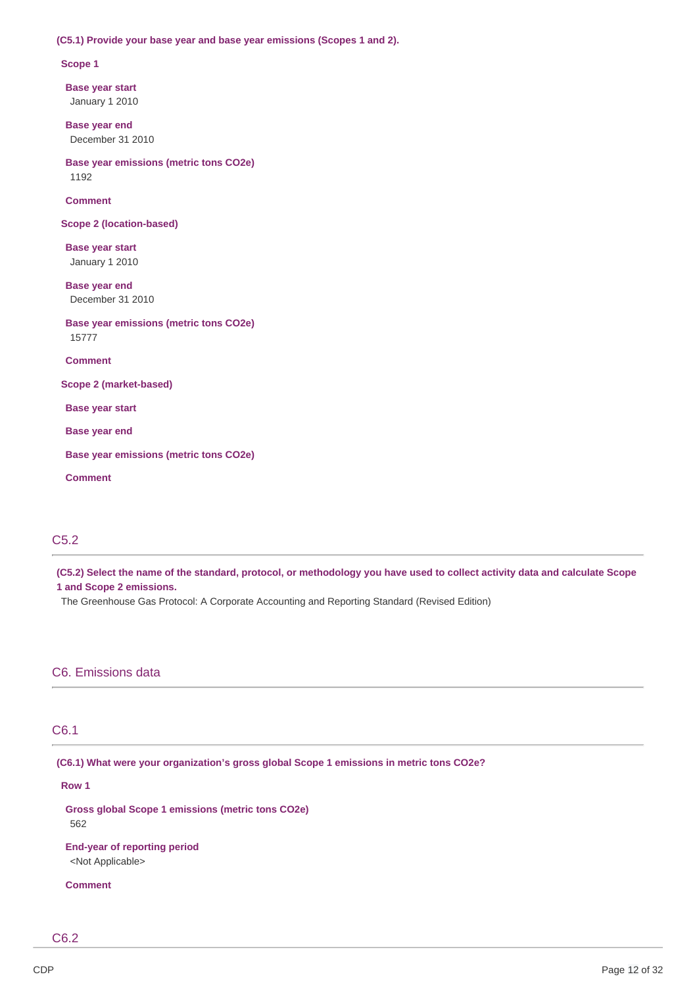#### **(C5.1) Provide your base year and base year emissions (Scopes 1 and 2).**

#### **Scope 1**

**Base year start** January 1 2010

**Base year end** December 31 2010

**Base year emissions (metric tons CO2e)** 1192

**Comment**

**Scope 2 (location-based)**

**Base year start** January 1 2010

**Base year end** December 31 2010

**Base year emissions (metric tons CO2e)** 15777

**Comment**

**Scope 2 (market-based)**

**Base year start**

**Base year end**

**Base year emissions (metric tons CO2e)**

**Comment**

### C5.2

(C5.2) Select the name of the standard, protocol, or methodology you have used to collect activity data and calculate Scope **1 and Scope 2 emissions.**

The Greenhouse Gas Protocol: A Corporate Accounting and Reporting Standard (Revised Edition)

### C6. Emissions data

### C6.1

**(C6.1) What were your organization's gross global Scope 1 emissions in metric tons CO2e?**

#### **Row 1**

**Gross global Scope 1 emissions (metric tons CO2e)** 562

**End-year of reporting period** <Not Applicable>

#### **Comment**

C6.2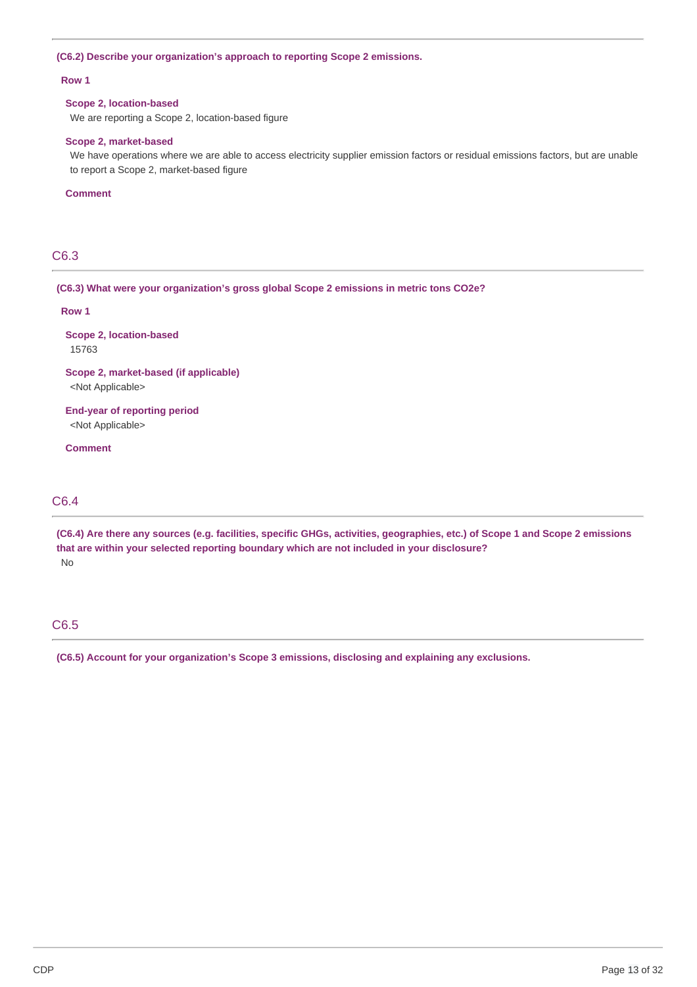### **(C6.2) Describe your organization's approach to reporting Scope 2 emissions.**

#### **Row 1**

### **Scope 2, location-based**

We are reporting a Scope 2, location-based figure

### **Scope 2, market-based**

We have operations where we are able to access electricity supplier emission factors or residual emissions factors, but are unable to report a Scope 2, market-based figure

#### **Comment**

# C6.3

### **(C6.3) What were your organization's gross global Scope 2 emissions in metric tons CO2e?**

#### **Row 1**

**Scope 2, location-based** 15763

### **Scope 2, market-based (if applicable)** <Not Applicable>

**End-year of reporting period** <Not Applicable>

**Comment**

# C6.4

(C6.4) Are there any sources (e.g. facilities, specific GHGs, activities, geographies, etc.) of Scope 1 and Scope 2 emissions **that are within your selected reporting boundary which are not included in your disclosure?** No

# C6.5

**(C6.5) Account for your organization's Scope 3 emissions, disclosing and explaining any exclusions.**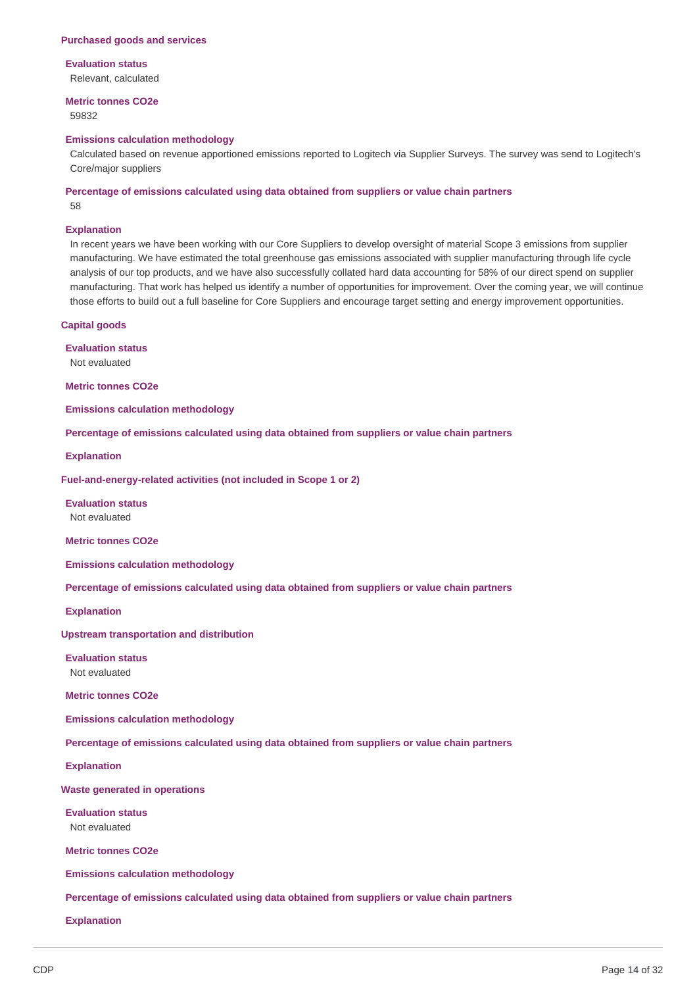#### **Purchased goods and services**

#### **Evaluation status**

Relevant, calculated

# **Metric tonnes CO2e**

59832

#### **Emissions calculation methodology**

Calculated based on revenue apportioned emissions reported to Logitech via Supplier Surveys. The survey was send to Logitech's Core/major suppliers

### **Percentage of emissions calculated using data obtained from suppliers or value chain partners**

58

#### **Explanation**

In recent years we have been working with our Core Suppliers to develop oversight of material Scope 3 emissions from supplier manufacturing. We have estimated the total greenhouse gas emissions associated with supplier manufacturing through life cycle analysis of our top products, and we have also successfully collated hard data accounting for 58% of our direct spend on supplier manufacturing. That work has helped us identify a number of opportunities for improvement. Over the coming year, we will continue those efforts to build out a full baseline for Core Suppliers and encourage target setting and energy improvement opportunities.

### **Capital goods**

**Evaluation status** Not evaluated

**Metric tonnes CO2e**

**Emissions calculation methodology**

**Percentage of emissions calculated using data obtained from suppliers or value chain partners**

**Explanation**

**Fuel-and-energy-related activities (not included in Scope 1 or 2)**

**Evaluation status** Not evaluated

**Metric tonnes CO2e**

**Emissions calculation methodology**

**Percentage of emissions calculated using data obtained from suppliers or value chain partners**

**Explanation**

**Upstream transportation and distribution**

**Evaluation status** Not evaluated

**Metric tonnes CO2e**

**Emissions calculation methodology**

**Percentage of emissions calculated using data obtained from suppliers or value chain partners**

**Explanation**

**Waste generated in operations**

**Evaluation status** Not evaluated

**Metric tonnes CO2e**

**Emissions calculation methodology**

**Percentage of emissions calculated using data obtained from suppliers or value chain partners**

**Explanation**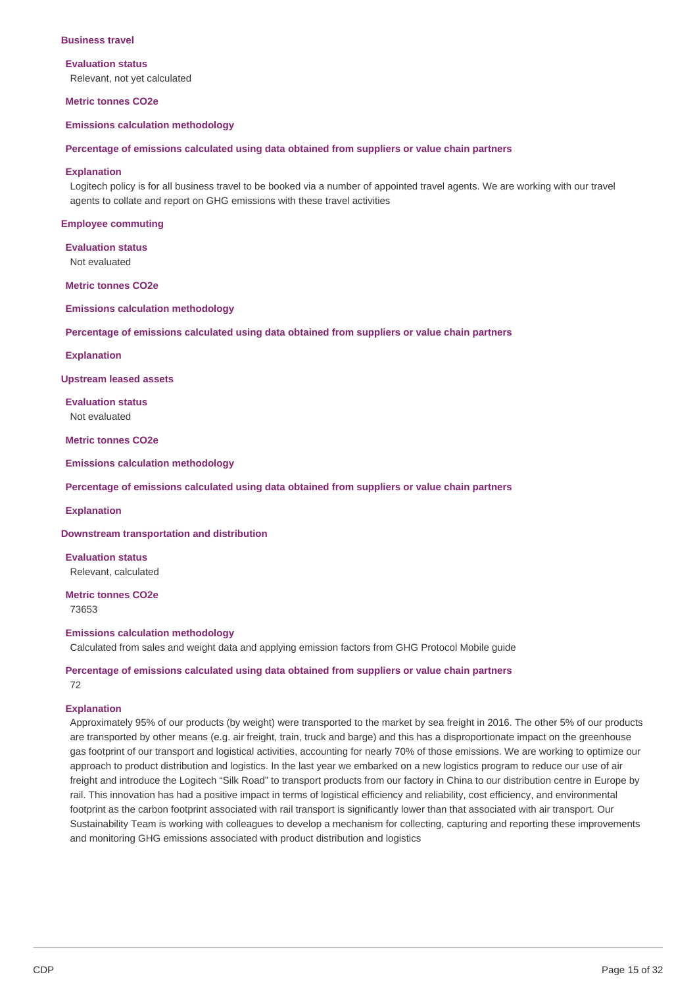#### **Business travel**

#### **Evaluation status**

Relevant, not yet calculated

#### **Metric tonnes CO2e**

#### **Emissions calculation methodology**

#### **Percentage of emissions calculated using data obtained from suppliers or value chain partners**

#### **Explanation**

Logitech policy is for all business travel to be booked via a number of appointed travel agents. We are working with our travel agents to collate and report on GHG emissions with these travel activities

#### **Employee commuting**

**Evaluation status** Not evaluated

**Metric tonnes CO2e**

**Emissions calculation methodology**

**Percentage of emissions calculated using data obtained from suppliers or value chain partners**

#### **Explanation**

**Upstream leased assets**

**Evaluation status** Not evaluated

**Metric tonnes CO2e**

**Emissions calculation methodology**

**Percentage of emissions calculated using data obtained from suppliers or value chain partners**

#### **Explanation**

### **Downstream transportation and distribution**

**Evaluation status** Relevant, calculated

# **Metric tonnes CO2e**

73653

#### **Emissions calculation methodology**

Calculated from sales and weight data and applying emission factors from GHG Protocol Mobile guide

#### **Percentage of emissions calculated using data obtained from suppliers or value chain partners** 72

#### **Explanation**

Approximately 95% of our products (by weight) were transported to the market by sea freight in 2016. The other 5% of our products are transported by other means (e.g. air freight, train, truck and barge) and this has a disproportionate impact on the greenhouse gas footprint of our transport and logistical activities, accounting for nearly 70% of those emissions. We are working to optimize our approach to product distribution and logistics. In the last year we embarked on a new logistics program to reduce our use of air freight and introduce the Logitech "Silk Road" to transport products from our factory in China to our distribution centre in Europe by rail. This innovation has had a positive impact in terms of logistical efficiency and reliability, cost efficiency, and environmental footprint as the carbon footprint associated with rail transport is significantly lower than that associated with air transport. Our Sustainability Team is working with colleagues to develop a mechanism for collecting, capturing and reporting these improvements and monitoring GHG emissions associated with product distribution and logistics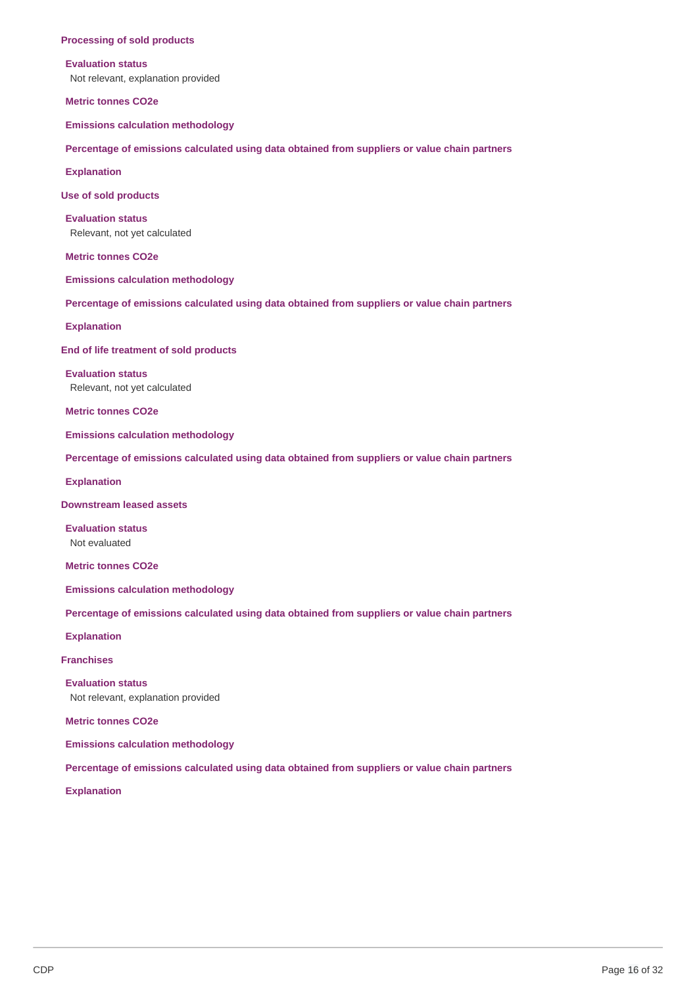#### **Processing of sold products**

#### **Evaluation status**

Not relevant, explanation provided

**Metric tonnes CO2e**

**Emissions calculation methodology**

**Percentage of emissions calculated using data obtained from suppliers or value chain partners**

**Explanation**

**Use of sold products**

**Evaluation status** Relevant, not yet calculated

**Metric tonnes CO2e**

**Emissions calculation methodology**

**Percentage of emissions calculated using data obtained from suppliers or value chain partners**

**Explanation**

**End of life treatment of sold products**

**Evaluation status** Relevant, not yet calculated

**Metric tonnes CO2e**

**Emissions calculation methodology**

**Percentage of emissions calculated using data obtained from suppliers or value chain partners**

**Explanation**

**Downstream leased assets**

**Evaluation status** Not evaluated

**Metric tonnes CO2e**

**Emissions calculation methodology**

**Percentage of emissions calculated using data obtained from suppliers or value chain partners**

**Explanation**

**Franchises**

**Evaluation status**

Not relevant, explanation provided

**Metric tonnes CO2e**

**Emissions calculation methodology**

**Percentage of emissions calculated using data obtained from suppliers or value chain partners**

**Explanation**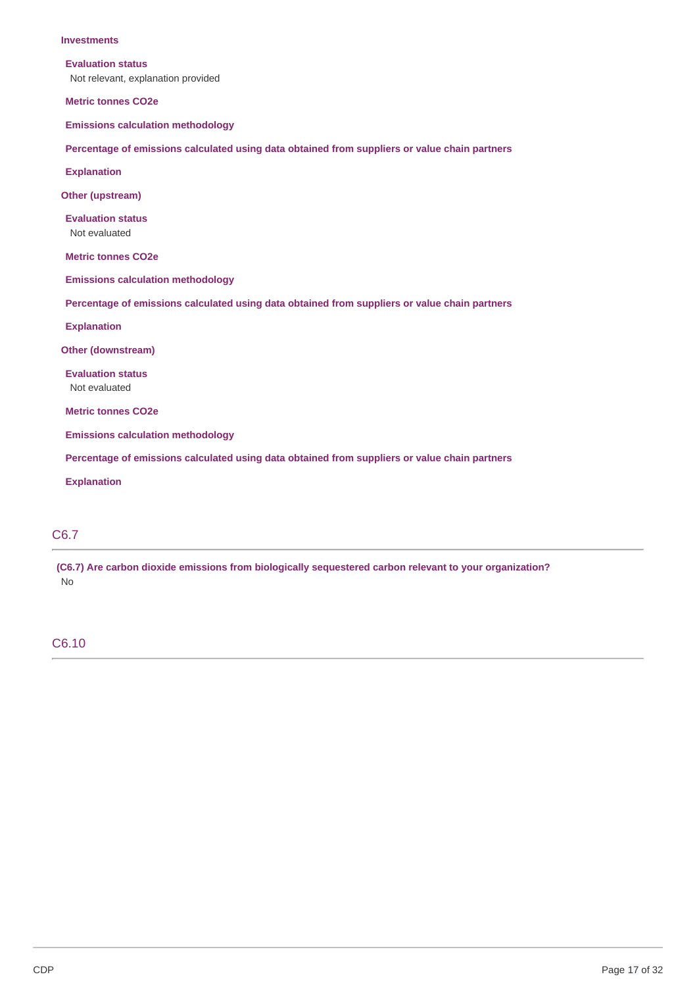#### **Investments**

#### **Evaluation status**

Not relevant, explanation provided

**Metric tonnes CO2e**

**Emissions calculation methodology**

**Percentage of emissions calculated using data obtained from suppliers or value chain partners**

**Explanation**

**Other (upstream)**

**Evaluation status** Not evaluated

**Metric tonnes CO2e**

**Emissions calculation methodology**

**Percentage of emissions calculated using data obtained from suppliers or value chain partners**

**Explanation**

**Other (downstream)**

**Evaluation status** Not evaluated

**Metric tonnes CO2e**

**Emissions calculation methodology**

**Percentage of emissions calculated using data obtained from suppliers or value chain partners**

**Explanation**

# C6.7

**(C6.7) Are carbon dioxide emissions from biologically sequestered carbon relevant to your organization?** No

### C6.10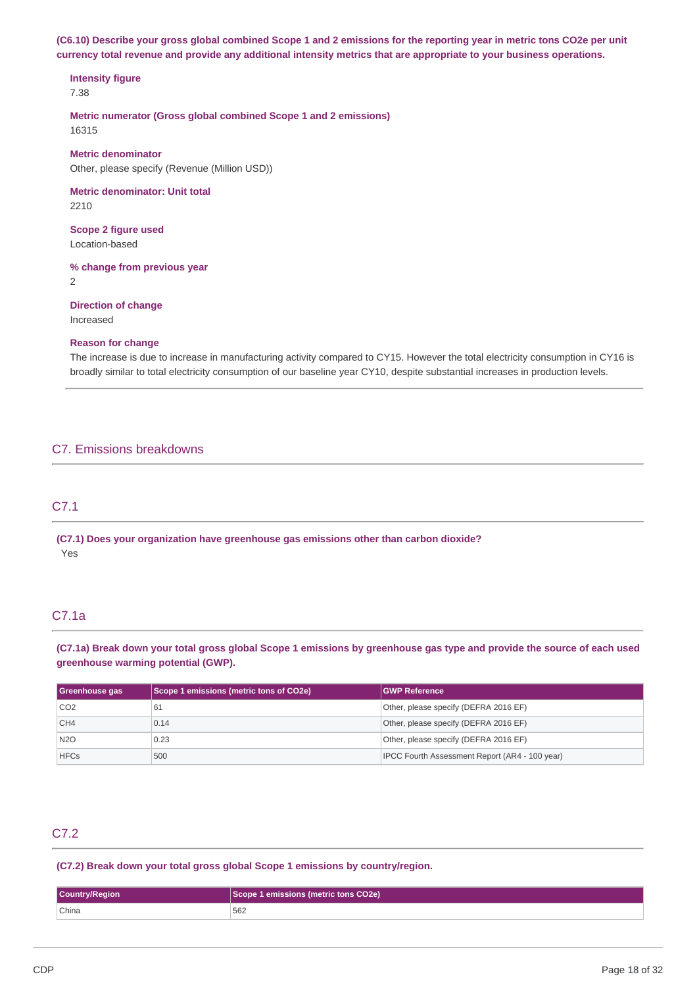(C6.10) Describe your gross global combined Scope 1 and 2 emissions for the reporting year in metric tons CO2e per unit currency total revenue and provide any additional intensity metrics that are appropriate to your business operations.

**Intensity figure** 7.38

**Metric numerator (Gross global combined Scope 1 and 2 emissions)** 16315

**Metric denominator** Other, please specify (Revenue (Million USD))

**Metric denominator: Unit total** 2210

**Scope 2 figure used** Location-based

**% change from previous year**

2

**Direction of change** Increased

### **Reason for change**

The increase is due to increase in manufacturing activity compared to CY15. However the total electricity consumption in CY16 is broadly similar to total electricity consumption of our baseline year CY10, despite substantial increases in production levels.

# C7. Emissions breakdowns

# C7.1

**(C7.1) Does your organization have greenhouse gas emissions other than carbon dioxide?** Yes

# C7.1a

(C7.1a) Break down your total gross global Scope 1 emissions by greenhouse gas type and provide the source of each used **greenhouse warming potential (GWP).**

| Greenhouse gas  | Scope 1 emissions (metric tons of CO2e) | <b>GWP Reference</b>                           |
|-----------------|-----------------------------------------|------------------------------------------------|
| CO <sub>2</sub> | 61                                      | Other, please specify (DEFRA 2016 EF)          |
| CH <sub>4</sub> | 0.14                                    | Other, please specify (DEFRA 2016 EF)          |
| <b>N2O</b>      | 0.23                                    | Other, please specify (DEFRA 2016 EF)          |
| <b>HFCs</b>     | 500                                     | IPCC Fourth Assessment Report (AR4 - 100 year) |

# C7.2

**(C7.2) Break down your total gross global Scope 1 emissions by country/region.**

| <b>Country/Region</b> | Scope 1 emissions (metric tons CO2e) |
|-----------------------|--------------------------------------|
| China                 | 562                                  |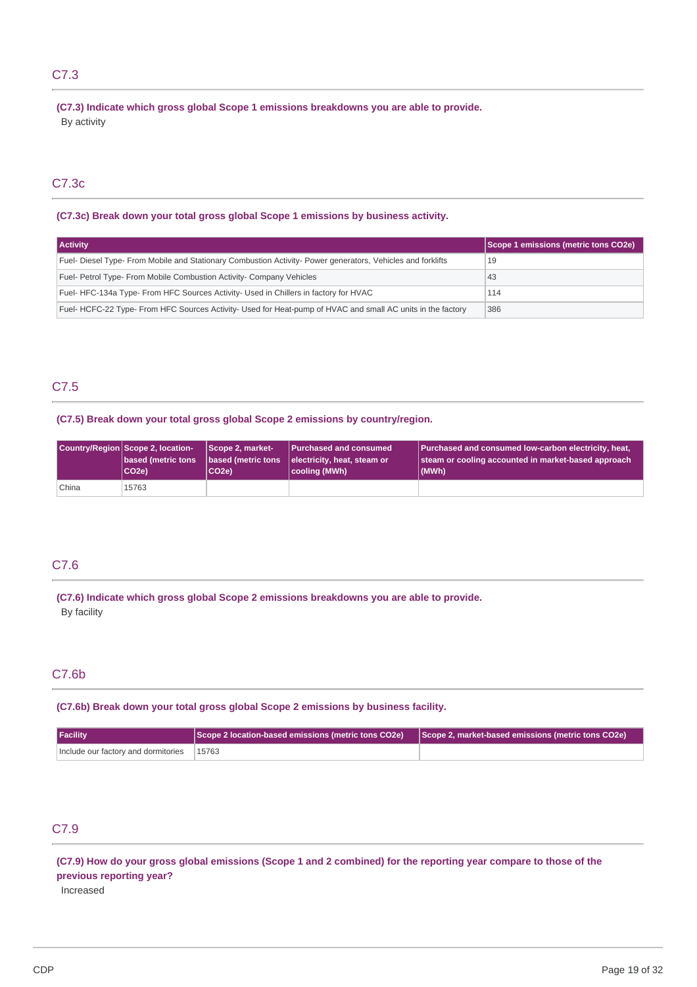# C7.3

**(C7.3) Indicate which gross global Scope 1 emissions breakdowns you are able to provide.** By activity

# C7.3c

### **(C7.3c) Break down your total gross global Scope 1 emissions by business activity.**

| <b>Activity</b>                                                                                             | Scope 1 emissions (metric tons CO2e) |
|-------------------------------------------------------------------------------------------------------------|--------------------------------------|
| Fuel- Diesel Type- From Mobile and Stationary Combustion Activity- Power generators, Vehicles and forklifts | 19                                   |
| Fuel- Petrol Type- From Mobile Combustion Activity- Company Vehicles                                        | 43                                   |
| Fuel-HFC-134a Type-From HFC Sources Activity- Used in Chillers in factory for HVAC                          | 114                                  |
| Fuel-HCFC-22 Type-From HFC Sources Activity- Used for Heat-pump of HVAC and small AC units in the factory   | 386                                  |

# C7.5

### **(C7.5) Break down your total gross global Scope 2 emissions by country/region.**

|       | Country/Region Scope 2, location-<br>based (metric tons<br>CO <sub>2e</sub> | Scope 2, market-<br>CO2e) | Purchased and consumed<br>based (metric tons   electricity, heat, steam or<br>cooling (MWh) | Purchased and consumed low-carbon electricity, heat,<br>steam or cooling accounted in market-based approach<br>(MWh) |
|-------|-----------------------------------------------------------------------------|---------------------------|---------------------------------------------------------------------------------------------|----------------------------------------------------------------------------------------------------------------------|
| China | 15763                                                                       |                           |                                                                                             |                                                                                                                      |

# C7.6

**(C7.6) Indicate which gross global Scope 2 emissions breakdowns you are able to provide.** By facility

### C7.6b

**(C7.6b) Break down your total gross global Scope 2 emissions by business facility.**

| <b>Facility</b>                           | Scope 2 location-based emissions (metric tons CO2e) Scope 2, market-based emissions (metric tons CO2e) [ |  |
|-------------------------------------------|----------------------------------------------------------------------------------------------------------|--|
| Include our factory and dormitories 15763 |                                                                                                          |  |

# C7.9

(C7.9) How do your gross global emissions (Scope 1 and 2 combined) for the reporting year compare to those of the **previous reporting year?** Increased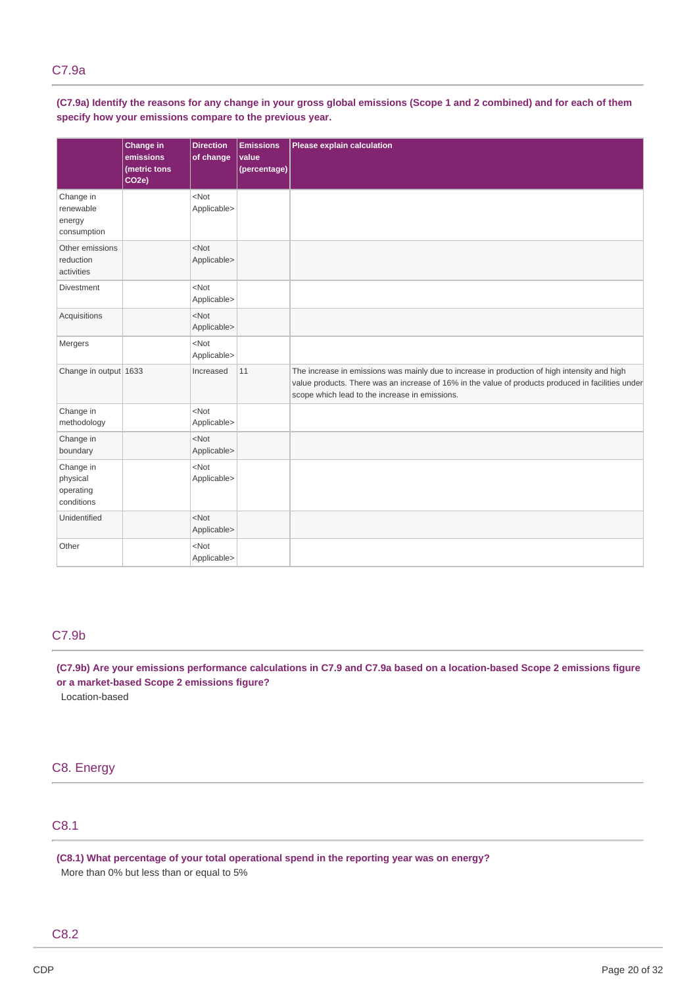(C7.9a) Identify the reasons for any change in your gross global emissions (Scope 1 and 2 combined) and for each of them **specify how your emissions compare to the previous year.**

|                                                  | Change in<br>emissions<br>(metric tons<br>CO <sub>2</sub> e) | <b>Direction</b><br>of change | <b>Emissions</b><br>value<br>(percentage) | Please explain calculation                                                                                                                                                                                                                            |
|--------------------------------------------------|--------------------------------------------------------------|-------------------------------|-------------------------------------------|-------------------------------------------------------------------------------------------------------------------------------------------------------------------------------------------------------------------------------------------------------|
| Change in<br>renewable<br>energy<br>consumption  |                                                              | $<$ Not<br>Applicable>        |                                           |                                                                                                                                                                                                                                                       |
| Other emissions<br>reduction<br>activities       |                                                              | $<$ Not<br>Applicable>        |                                           |                                                                                                                                                                                                                                                       |
| Divestment                                       |                                                              | $<$ Not<br>Applicable>        |                                           |                                                                                                                                                                                                                                                       |
| Acquisitions                                     |                                                              | $<$ Not<br>Applicable>        |                                           |                                                                                                                                                                                                                                                       |
| Mergers                                          |                                                              | $<$ Not<br>Applicable>        |                                           |                                                                                                                                                                                                                                                       |
| Change in output 1633                            |                                                              | Increased                     | 11                                        | The increase in emissions was mainly due to increase in production of high intensity and high<br>value products. There was an increase of 16% in the value of products produced in facilities under<br>scope which lead to the increase in emissions. |
| Change in<br>methodology                         |                                                              | $<$ Not<br>Applicable>        |                                           |                                                                                                                                                                                                                                                       |
| Change in<br>boundary                            |                                                              | $<$ Not<br>Applicable>        |                                           |                                                                                                                                                                                                                                                       |
| Change in<br>physical<br>operating<br>conditions |                                                              | $<$ Not<br>Applicable>        |                                           |                                                                                                                                                                                                                                                       |
| Unidentified                                     |                                                              | $<$ Not<br>Applicable>        |                                           |                                                                                                                                                                                                                                                       |
| Other                                            |                                                              | $<$ Not<br>Applicable>        |                                           |                                                                                                                                                                                                                                                       |

# C7.9b

(C7.9b) Are your emissions performance calculations in C7.9 and C7.9a based on a location-based Scope 2 emissions figure **or a market-based Scope 2 emissions figure?** Location-based

C8. Energy

# C8.1

**(C8.1) What percentage of your total operational spend in the reporting year was on energy?**

More than 0% but less than or equal to 5%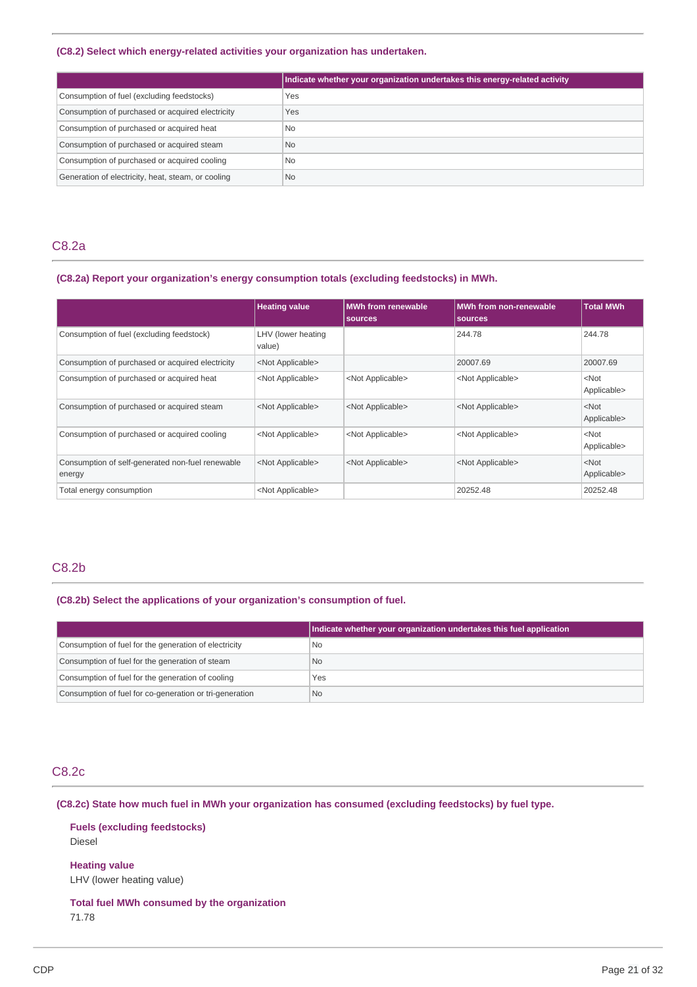### **(C8.2) Select which energy-related activities your organization has undertaken.**

|                                                    | Indicate whether your organization undertakes this energy-related activity |
|----------------------------------------------------|----------------------------------------------------------------------------|
| Consumption of fuel (excluding feedstocks)         | Yes                                                                        |
| Consumption of purchased or acquired electricity   | Yes                                                                        |
| Consumption of purchased or acquired heat          | <b>No</b>                                                                  |
| Consumption of purchased or acquired steam         | <b>No</b>                                                                  |
| Consumption of purchased or acquired cooling       | <b>No</b>                                                                  |
| Generation of electricity, heat, steam, or cooling | <b>No</b>                                                                  |

### C8.2a

# **(C8.2a) Report your organization's energy consumption totals (excluding feedstocks) in MWh.**

|                                                            | <b>Heating value</b>         | <b>MWh from renewable</b><br>sources | MWh from non-renewable<br>sources | <b>Total MWh</b>       |
|------------------------------------------------------------|------------------------------|--------------------------------------|-----------------------------------|------------------------|
| Consumption of fuel (excluding feedstock)                  | LHV (lower heating<br>value) |                                      | 244.78                            | 244.78                 |
| Consumption of purchased or acquired electricity           | <not applicable=""></not>    |                                      | 20007.69                          | 20007.69               |
| Consumption of purchased or acquired heat                  | <not applicable=""></not>    | <not applicable=""></not>            | <not applicable=""></not>         | $<$ Not<br>Applicable> |
| Consumption of purchased or acquired steam                 | <not applicable=""></not>    | <not applicable=""></not>            | <not applicable=""></not>         | $<$ Not<br>Applicable> |
| Consumption of purchased or acquired cooling               | <not applicable=""></not>    | <not applicable=""></not>            | <not applicable=""></not>         | $<$ Not<br>Applicable> |
| Consumption of self-generated non-fuel renewable<br>energy | <not applicable=""></not>    | <not applicable=""></not>            | <not applicable=""></not>         | $<$ Not<br>Applicable> |
| Total energy consumption                                   | <not applicable=""></not>    |                                      | 20252.48                          | 20252.48               |

# C8.2b

### **(C8.2b) Select the applications of your organization's consumption of fuel.**

|                                                         | Indicate whether your organization undertakes this fuel application |
|---------------------------------------------------------|---------------------------------------------------------------------|
| Consumption of fuel for the generation of electricity   | No                                                                  |
| Consumption of fuel for the generation of steam         | No.                                                                 |
| Consumption of fuel for the generation of cooling       | Yes                                                                 |
| Consumption of fuel for co-generation or tri-generation | No.                                                                 |

# C8.2c

**(C8.2c) State how much fuel in MWh your organization has consumed (excluding feedstocks) by fuel type.**

**Fuels (excluding feedstocks)** Diesel

**Heating value** LHV (lower heating value)

# **Total fuel MWh consumed by the organization**

71.78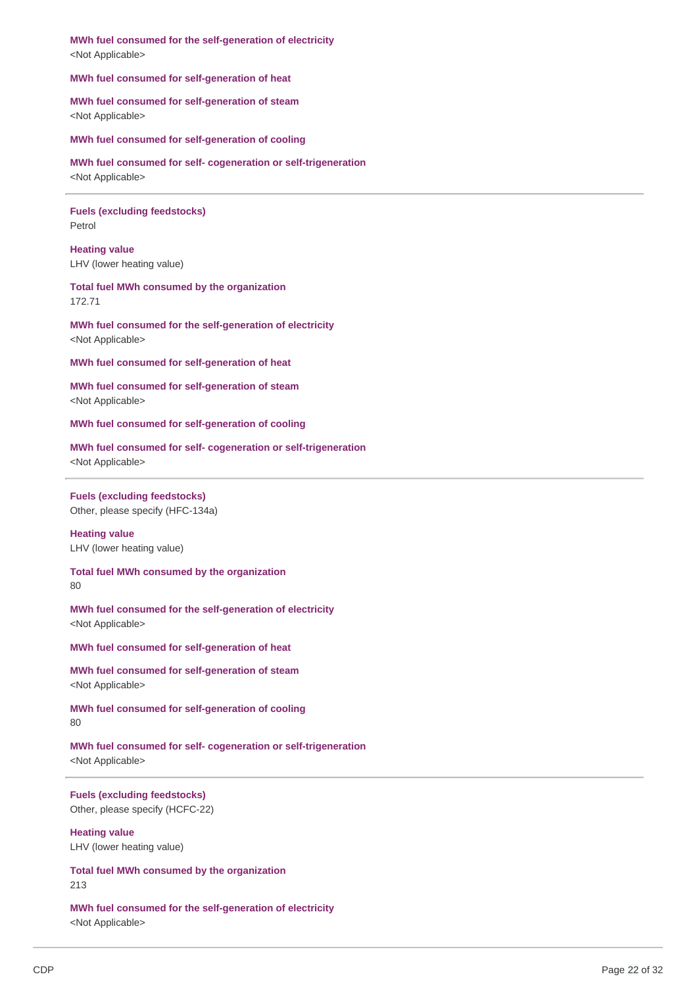**MWh fuel consumed for the self-generation of electricity** <Not Applicable>

**MWh fuel consumed for self-generation of heat**

**MWh fuel consumed for self-generation of steam** <Not Applicable>

**MWh fuel consumed for self-generation of cooling**

**MWh fuel consumed for self- cogeneration or self-trigeneration** <Not Applicable>

**Fuels (excluding feedstocks)** Petrol

**Heating value** LHV (lower heating value)

### **Total fuel MWh consumed by the organization** 172.71

**MWh fuel consumed for the self-generation of electricity** <Not Applicable>

**MWh fuel consumed for self-generation of heat**

**MWh fuel consumed for self-generation of steam** <Not Applicable>

**MWh fuel consumed for self-generation of cooling**

**MWh fuel consumed for self- cogeneration or self-trigeneration** <Not Applicable>

### **Fuels (excluding feedstocks)**

Other, please specify (HFC-134a)

# **Heating value**

LHV (lower heating value)

**Total fuel MWh consumed by the organization**

80

**MWh fuel consumed for the self-generation of electricity** <Not Applicable>

**MWh fuel consumed for self-generation of heat**

**MWh fuel consumed for self-generation of steam** <Not Applicable>

**MWh fuel consumed for self-generation of cooling** 80

**MWh fuel consumed for self- cogeneration or self-trigeneration** <Not Applicable>

**Fuels (excluding feedstocks)** Other, please specify (HCFC-22)

**Heating value** LHV (lower heating value)

**Total fuel MWh consumed by the organization** 213

**MWh fuel consumed for the self-generation of electricity** <Not Applicable>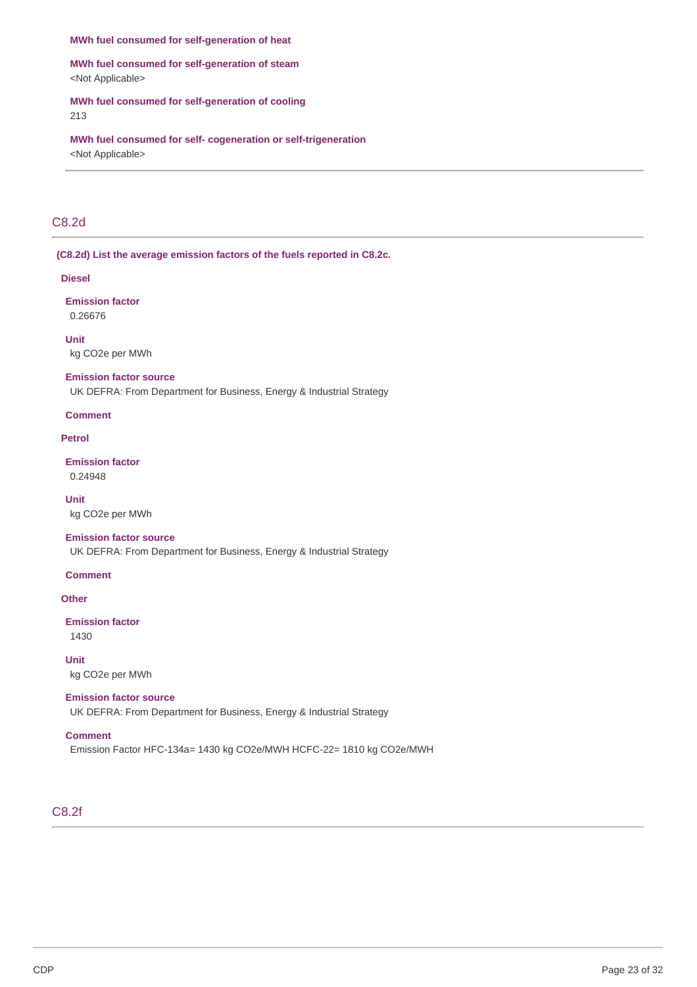#### **MWh fuel consumed for self-generation of heat**

**MWh fuel consumed for self-generation of steam** <Not Applicable>

**MWh fuel consumed for self-generation of cooling** 213

**MWh fuel consumed for self- cogeneration or self-trigeneration** <Not Applicable>

# C8.2d

**(C8.2d) List the average emission factors of the fuels reported in C8.2c.**

#### **Diesel**

**Emission factor** 0.26676

**Unit** kg CO2e per MWh

#### **Emission factor source**

UK DEFRA: From Department for Business, Energy & Industrial Strategy

#### **Comment**

### **Petrol**

**Emission factor** 0.24948

**Unit** kg CO2e per MWh

### **Emission factor source**

UK DEFRA: From Department for Business, Energy & Industrial Strategy

#### **Comment**

### **Other**

# **Emission factor**

1430

**Unit**

kg CO2e per MWh

### **Emission factor source**

UK DEFRA: From Department for Business, Energy & Industrial Strategy

### **Comment**

Emission Factor HFC-134a= 1430 kg CO2e/MWH HCFC-22= 1810 kg CO2e/MWH

### C8.2f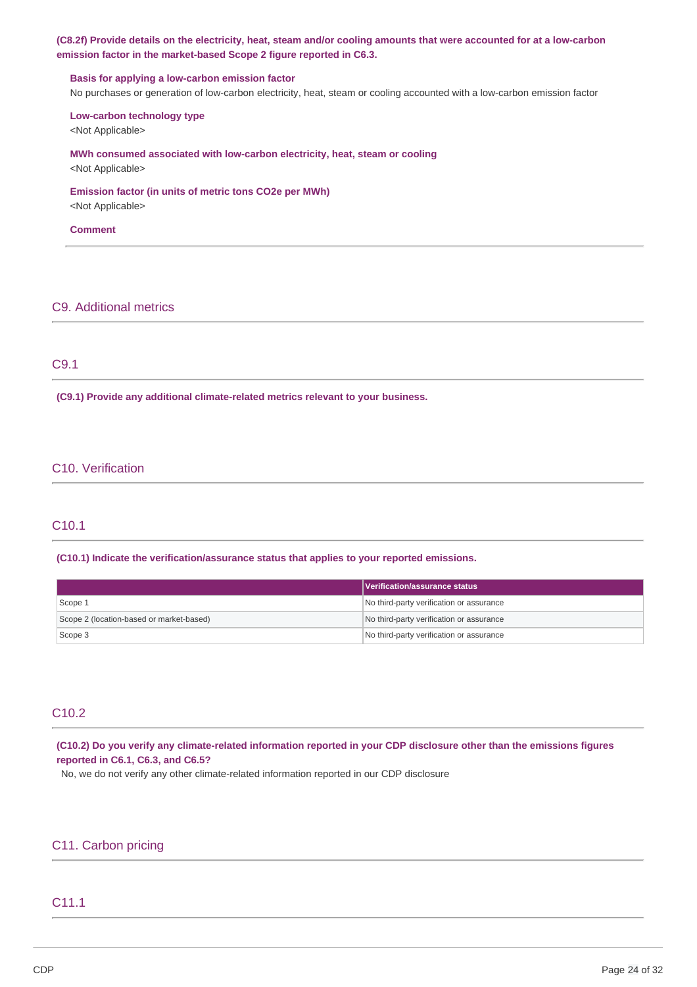### (C8.2f) Provide details on the electricity, heat, steam and/or cooling amounts that were accounted for at a low-carbon **emission factor in the market-based Scope 2 figure reported in C6.3.**

#### **Basis for applying a low-carbon emission factor**

No purchases or generation of low-carbon electricity, heat, steam or cooling accounted with a low-carbon emission factor

### **Low-carbon technology type**

<Not Applicable>

### **MWh consumed associated with low-carbon electricity, heat, steam or cooling**

<Not Applicable>

# **Emission factor (in units of metric tons CO2e per MWh)**

<Not Applicable>

#### **Comment**

### C9. Additional metrics

### C9.1

**(C9.1) Provide any additional climate-related metrics relevant to your business.**

### C10. Verification

### C10.1

**(C10.1) Indicate the verification/assurance status that applies to your reported emissions.**

|                                          | <b>Nerification/assurance status</b>     |
|------------------------------------------|------------------------------------------|
| Scope 1                                  | No third-party verification or assurance |
| Scope 2 (location-based or market-based) | No third-party verification or assurance |
| Scope 3                                  | No third-party verification or assurance |

## C10.2

(C10.2) Do you verify any climate-related information reported in your CDP disclosure other than the emissions figures **reported in C6.1, C6.3, and C6.5?**

No, we do not verify any other climate-related information reported in our CDP disclosure

# C11. Carbon pricing

# C11.1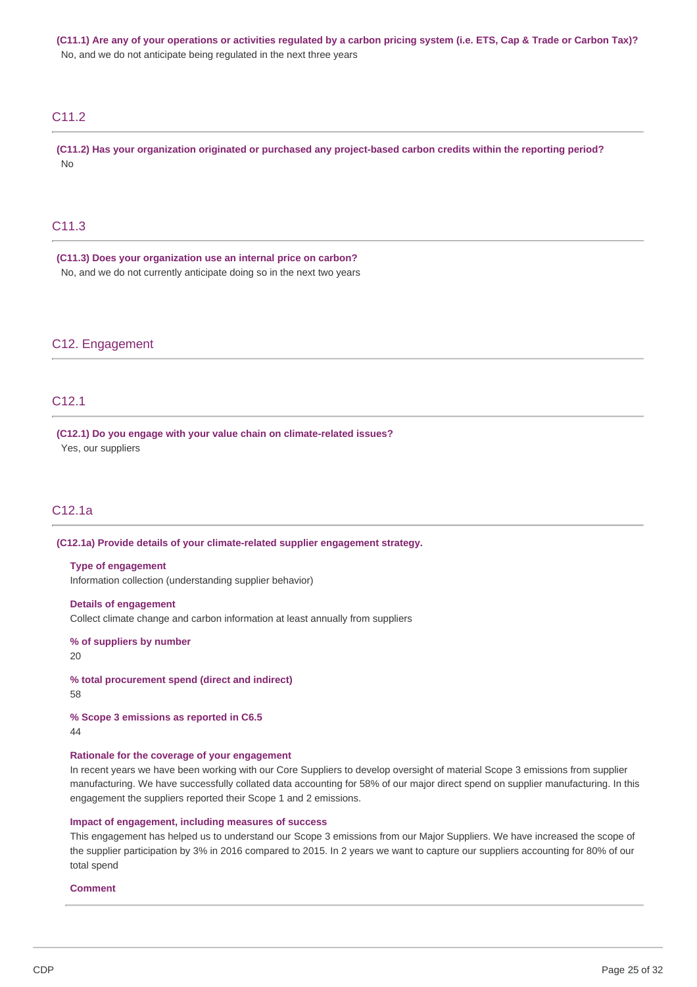(C11.1) Are any of your operations or activities regulated by a carbon pricing system (i.e. ETS, Cap & Trade or Carbon Tax)? No, and we do not anticipate being regulated in the next three years

# C11.2

**(C11.2) Has your organization originated or purchased any project-based carbon credits within the reporting period?** No

# C11.3

**(C11.3) Does your organization use an internal price on carbon?** No, and we do not currently anticipate doing so in the next two years

### C12. Engagement

### C12.1

**(C12.1) Do you engage with your value chain on climate-related issues?** Yes, our suppliers

# C12.1a

**(C12.1a) Provide details of your climate-related supplier engagement strategy.**

#### **Type of engagement**

Information collection (understanding supplier behavior)

#### **Details of engagement**

Collect climate change and carbon information at least annually from suppliers

**% of suppliers by number**

20

**% total procurement spend (direct and indirect)**

58

**% Scope 3 emissions as reported in C6.5**

```
44
```
#### **Rationale for the coverage of your engagement**

In recent years we have been working with our Core Suppliers to develop oversight of material Scope 3 emissions from supplier manufacturing. We have successfully collated data accounting for 58% of our major direct spend on supplier manufacturing. In this engagement the suppliers reported their Scope 1 and 2 emissions.

#### **Impact of engagement, including measures of success**

This engagement has helped us to understand our Scope 3 emissions from our Major Suppliers. We have increased the scope of the supplier participation by 3% in 2016 compared to 2015. In 2 years we want to capture our suppliers accounting for 80% of our total spend

#### **Comment**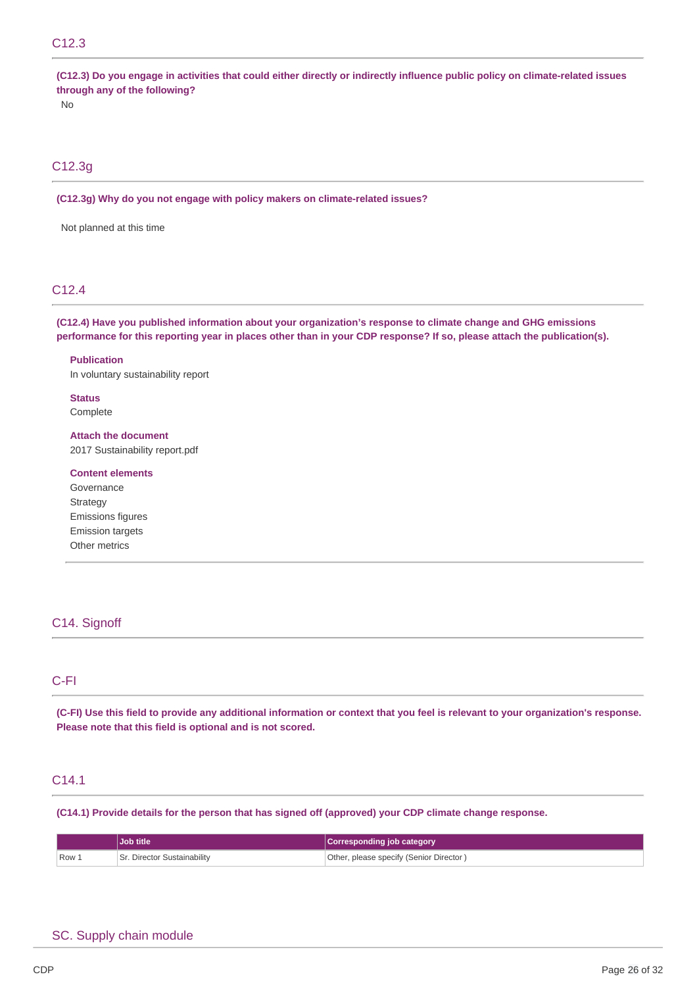# C12.3

(C12.3) Do you engage in activities that could either directly or indirectly influence public policy on climate-related issues **through any of the following?**

No

# C12.3g

**(C12.3g) Why do you not engage with policy makers on climate-related issues?**

Not planned at this time

# C12.4

**(C12.4) Have you published information about your organization's response to climate change and GHG emissions** performance for this reporting year in places other than in your CDP response? If so, please attach the publication(s).

**Publication** In voluntary sustainability report

**Status** Complete

**Attach the document** 2017 Sustainability report.pdf

**Content elements** Governance Strategy Emissions figures Emission targets Other metrics

# C14. Signoff

### C-FI

(C-FI) Use this field to provide any additional information or context that you feel is relevant to your organization's response. **Please note that this field is optional and is not scored.**

# C14.1

**(C14.1) Provide details for the person that has signed off (approved) your CDP climate change response.**

|       | <b>Job title</b>          | Corresponding job category               |
|-------|---------------------------|------------------------------------------|
| Row 1 | . Director Sustainability | (Other, please specify (Senior Director) |

### SC. Supply chain module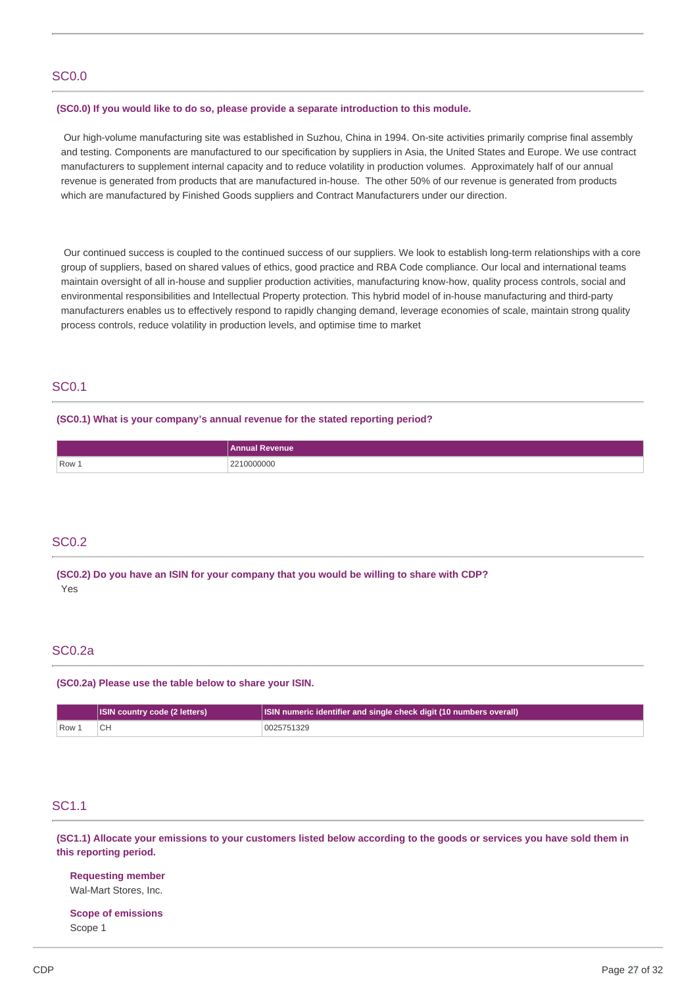### SC0.0

#### **(SC0.0) If you would like to do so, please provide a separate introduction to this module.**

Our high-volume manufacturing site was established in Suzhou, China in 1994. On-site activities primarily comprise final assembly and testing. Components are manufactured to our specification by suppliers in Asia, the United States and Europe. We use contract manufacturers to supplement internal capacity and to reduce volatility in production volumes. Approximately half of our annual revenue is generated from products that are manufactured in-house. The other 50% of our revenue is generated from products which are manufactured by Finished Goods suppliers and Contract Manufacturers under our direction.

Our continued success is coupled to the continued success of our suppliers. We look to establish long-term relationships with a core group of suppliers, based on shared values of ethics, good practice and RBA Code compliance. Our local and international teams maintain oversight of all in-house and supplier production activities, manufacturing know-how, quality process controls, social and environmental responsibilities and Intellectual Property protection. This hybrid model of in-house manufacturing and third-party manufacturers enables us to effectively respond to rapidly changing demand, leverage economies of scale, maintain strong quality process controls, reduce volatility in production levels, and optimise time to market

### SC0.1

#### **(SC0.1) What is your company's annual revenue for the stated reporting period?**

|       | <b>levenue</b><br>Annual |
|-------|--------------------------|
| Row 1 | 210000000<br>$\cap$<br>. |

### SC0.2

**(SC0.2) Do you have an ISIN for your company that you would be willing to share with CDP?** Yes

### SC0.2a

**(SC0.2a) Please use the table below to share your ISIN.**

|                           | <b>ISIN country code (2 letters)</b> | ISIN numeric identifier and single check digit (10 numbers overall) |
|---------------------------|--------------------------------------|---------------------------------------------------------------------|
| $\sqrt{R}$ Row $\sqrt{R}$ |                                      | 0025751329                                                          |

### SC1.1

(SC1.1) Allocate your emissions to your customers listed below according to the goods or services you have sold them in **this reporting period.**

**Requesting member** Wal-Mart Stores, Inc.

**Scope of emissions** Scope 1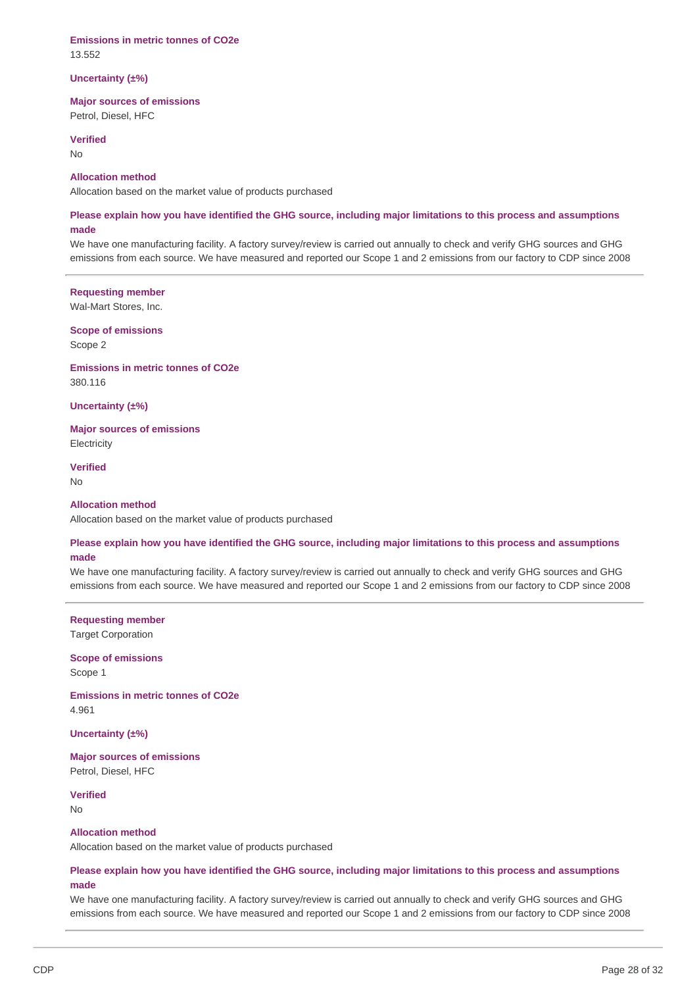#### **Emissions in metric tonnes of CO2e** 13.552

#### **Uncertainty (±%)**

### **Major sources of emissions**

Petrol, Diesel, HFC

#### **Verified**

No

### **Allocation method**

Allocation based on the market value of products purchased

### Please explain how you have identified the GHG source, including major limitations to this process and assumptions **made**

We have one manufacturing facility. A factory survey/review is carried out annually to check and verify GHG sources and GHG emissions from each source. We have measured and reported our Scope 1 and 2 emissions from our factory to CDP since 2008

#### **Requesting member**

Wal-Mart Stores, Inc.

#### **Scope of emissions** Scope 2

**Emissions in metric tonnes of CO2e** 380.116

**Uncertainty (±%)**

**Major sources of emissions Electricity** 

**Verified** No

# **Allocation method**

Allocation based on the market value of products purchased

### Please explain how you have identified the GHG source, including major limitations to this process and assumptions **made**

We have one manufacturing facility. A factory survey/review is carried out annually to check and verify GHG sources and GHG emissions from each source. We have measured and reported our Scope 1 and 2 emissions from our factory to CDP since 2008

### **Requesting member**

Target Corporation

### **Scope of emissions** Scope 1

**Emissions in metric tonnes of CO2e** 4.961

**Uncertainty (±%)**

**Major sources of emissions** Petrol, Diesel, HFC

**Verified**

No

#### **Allocation method**

Allocation based on the market value of products purchased

### Please explain how you have identified the GHG source, including major limitations to this process and assumptions **made**

We have one manufacturing facility. A factory survey/review is carried out annually to check and verify GHG sources and GHG emissions from each source. We have measured and reported our Scope 1 and 2 emissions from our factory to CDP since 2008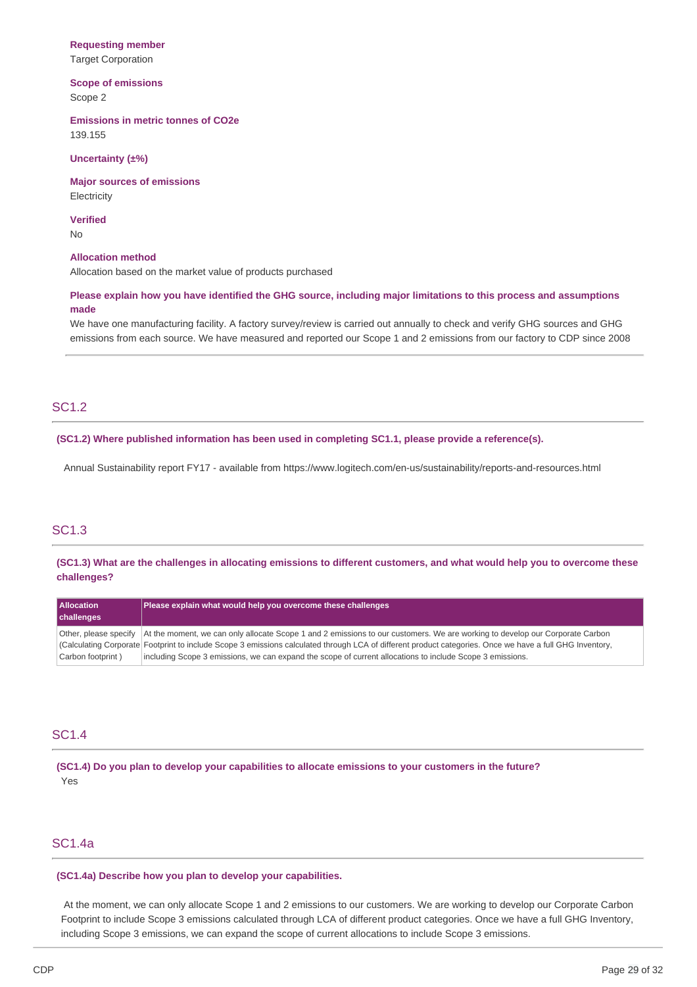### **Requesting member**

Target Corporation

# **Scope of emissions**

Scope 2

**Emissions in metric tonnes of CO2e** 139.155

#### **Uncertainty (±%)**

**Major sources of emissions Electricity** 

**Verified**

No

#### **Allocation method**

Allocation based on the market value of products purchased

### Please explain how you have identified the GHG source, including major limitations to this process and assumptions **made**

We have one manufacturing facility. A factory survey/review is carried out annually to check and verify GHG sources and GHG emissions from each source. We have measured and reported our Scope 1 and 2 emissions from our factory to CDP since 2008

# SC1.2

#### **(SC1.2) Where published information has been used in completing SC1.1, please provide a reference(s).**

Annual Sustainability report FY17 - available from https://www.logitech.com/en-us/sustainability/reports-and-resources.html

# SC1.3

(SC1.3) What are the challenges in allocating emissions to different customers, and what would help you to overcome these **challenges?**

| <b>Allocation</b><br>challenges | Please explain what would help you overcome these challenges                                                                                             |
|---------------------------------|----------------------------------------------------------------------------------------------------------------------------------------------------------|
| Other, please specify           | At the moment, we can only allocate Scope 1 and 2 emissions to our customers. We are working to develop our Corporate Carbon                             |
|                                 | (Calculating Corporate Footprint to include Scope 3 emissions calculated through LCA of different product categories. Once we have a full GHG Inventory, |
| Carbon footprint)               | including Scope 3 emissions, we can expand the scope of current allocations to include Scope 3 emissions.                                                |

### SC1.4

**(SC1.4) Do you plan to develop your capabilities to allocate emissions to your customers in the future?** Yes

# SC1.4a

#### **(SC1.4a) Describe how you plan to develop your capabilities.**

At the moment, we can only allocate Scope 1 and 2 emissions to our customers. We are working to develop our Corporate Carbon Footprint to include Scope 3 emissions calculated through LCA of different product categories. Once we have a full GHG Inventory, including Scope 3 emissions, we can expand the scope of current allocations to include Scope 3 emissions.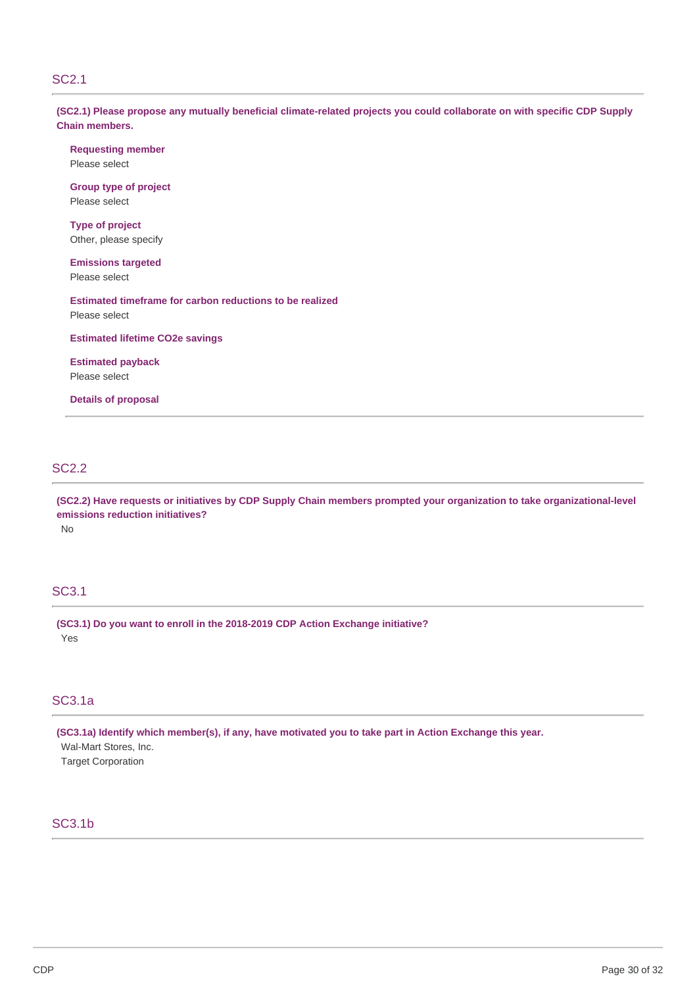### SC2.1

(SC2.1) Please propose any mutually beneficial climate-related projects you could collaborate on with specific CDP Supply **Chain members.**

**Requesting member** Please select

**Group type of project** Please select

**Type of project** Other, please specify

**Emissions targeted** Please select

**Estimated timeframe for carbon reductions to be realized** Please select

**Estimated lifetime CO2e savings**

**Estimated payback** Please select

**Details of proposal**

# SC2.2

(SC2.2) Have requests or initiatives by CDP Supply Chain members prompted your organization to take organizational-level **emissions reduction initiatives?** No

### SC3.1

**(SC3.1) Do you want to enroll in the 2018-2019 CDP Action Exchange initiative?** Yes

# SC3.1a

**(SC3.1a) Identify which member(s), if any, have motivated you to take part in Action Exchange this year.** Wal-Mart Stores, Inc. Target Corporation

# SC3.1b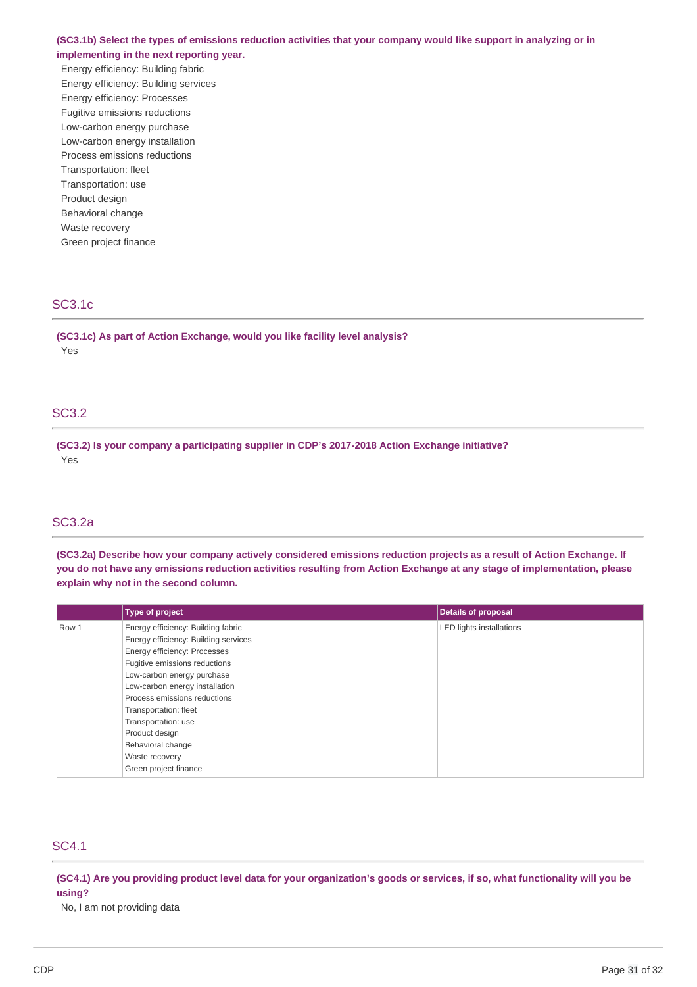### (SC3.1b) Select the types of emissions reduction activities that your company would like support in analyzing or in **implementing in the next reporting year.**

Energy efficiency: Building fabric Energy efficiency: Building services Energy efficiency: Processes Fugitive emissions reductions Low-carbon energy purchase Low-carbon energy installation Process emissions reductions Transportation: fleet Transportation: use Product design Behavioral change Waste recovery Green project finance

### SC3.1c

**(SC3.1c) As part of Action Exchange, would you like facility level analysis?** Yes

# SC3.2

**(SC3.2) Is your company a participating supplier in CDP's 2017-2018 Action Exchange initiative?** Yes

# SC3.2a

(SC3.2a) Describe how your company actively considered emissions reduction projects as a result of Action Exchange. If you do not have any emissions reduction activities resulting from Action Exchange at any stage of implementation, please **explain why not in the second column.**

|       | <b>Type of project</b>               | <b>Details of proposal</b>      |
|-------|--------------------------------------|---------------------------------|
| Row 1 | Energy efficiency: Building fabric   | <b>LED lights installations</b> |
|       | Energy efficiency: Building services |                                 |
|       | Energy efficiency: Processes         |                                 |
|       | Fugitive emissions reductions        |                                 |
|       | Low-carbon energy purchase           |                                 |
|       | Low-carbon energy installation       |                                 |
|       | Process emissions reductions         |                                 |
|       | Transportation: fleet                |                                 |
|       | Transportation: use                  |                                 |
|       | Product design                       |                                 |
|       | Behavioral change                    |                                 |
|       | Waste recovery                       |                                 |
|       | Green project finance                |                                 |

# SC4.1

(SC4.1) Are you providing product level data for your organization's goods or services, if so, what functionality will you be **using?**

No, I am not providing data